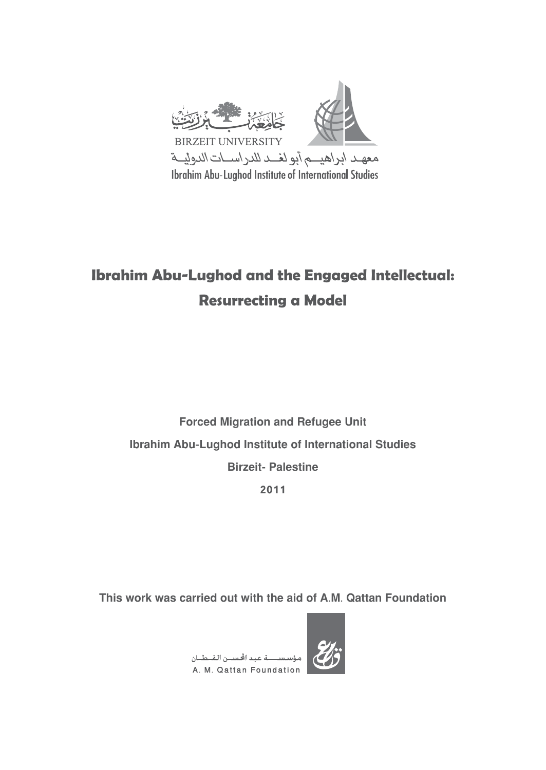

# **Ibrahim Abu-Lughod and the Engaged Intellectual: Resurrecting a Model**

# **Forced Migration and Refugee Unit Ibrahim Abu-Lughod Institute of International Studies Birzeit- Palestine**

**2011**

**This work was carried out with the aid of A.M. Qattan Foundation**

مؤسســـــة عبد الحُســن الـقــطــان<br>A. M. Qattan Foundation

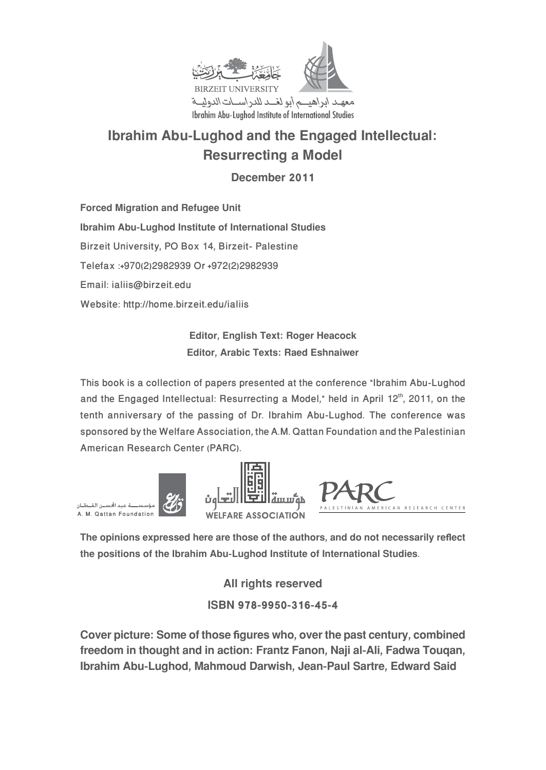

## **Ibrahim Abu-Lughod and the Engaged Intellectual: Resurrecting a Model**

**December 2011**

**Forced Migration and Refugee Unit Ibrahim Abu-Lughod Institute of International Studies** Birzeit University, PO Box 14, Birzeit- Palestine Telefax :+970(2)2982939 Or +972(2)2982939 Email: ialiis@birzeit.edu Website: http://home.birzeit.edu/ialiis

> **Editor, English Text: Roger Heacock Editor, Arabic Texts: Raed Eshnaiwer**

This book is a collection of papers presented at the conference "Ibrahim Abu-Lughod and the Engaged Intellectual: Resurrecting a Model," held in April 12th, 2011, on the tenth anniversary of the passing of Dr. Ibrahim Abu-Lughod. The conference was sponsored by the Welfare Association, the A.M. Qattan Foundation and the Palestinian American Research Center (PARC).



**The opinions expressed here are those of the authors, and do not necessarily reflect the positions of the Ibrahim Abu-Lughod Institute of International Studies**.

> **All rights reserved ISBN 978-9950-316-45-4**

**Cover picture: Some of those figures who, over the past century, combined freedom in thought and in action: Frantz Fanon, Naji al-Ali, Fadwa Touqan, Ibrahim Abu-Lughod, Mahmoud Darwish, Jean-Paul Sartre, Edward Said**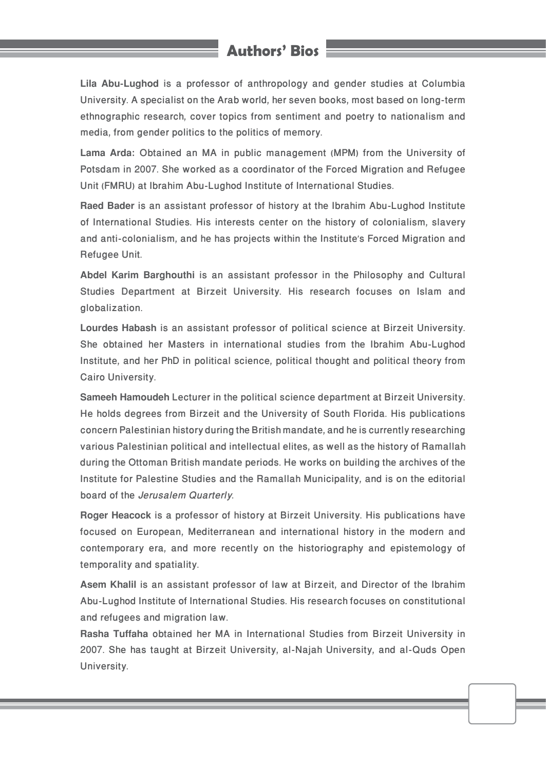### **Authors' Bios**

**Lila Abu-Lughod** is a professor of anthropology and gender studies at Columbia University. A specialist on the Arab world, her seven books, most based on long-term ethnographic research, cover topics from sentiment and poetry to nationalism and media, from gender politics to the politics of memory.

**Lama Arda:** Obtained an MA in public management (MPM) from the University of Potsdam in 2007. She worked as a coordinator of the Forced Migration and Refugee Unit (FMRU) at Ibrahim Abu-Lughod Institute of International Studies.

**Raed Bader** is an assistant professor of history at the Ibrahim Abu-Lughod Institute of International Studies. His interests center on the history of colonialism, slavery and anti-colonialism, and he has projects within the Institute's Forced Migration and Refugee Unit.

**Abdel Karim Barghouthi** is an assistant professor in the Philosophy and Cultural Studies Department at Birzeit University. His research focuses on Islam and globalization.

**Lourdes Habash** is an assistant professor of political science at Birzeit University. She obtained her Masters in international studies from the Ibrahim Abu-Lughod Institute, and her PhD in political science, political thought and political theory from Cairo University.

**Sameeh Hamoudeh** Lecturer in the political science department at Birzeit University. He holds degrees from Birzeit and the University of South Florida. His publications concern Palestinian history during the British mandate, and he is currently researching various Palestinian political and intellectual elites, as well as the history of Ramallah during the Ottoman British mandate periods. He works on building the archives of the Institute for Palestine Studies and the Ramallah Municipality, and is on the editorial board of the *Jerusalem Quarterly*.

**Roger Heacock** is a professor of history at Birzeit University. His publications have focused on European, Mediterranean and international history in the modern and contemporary era, and more recently on the historiography and epistemology of temporality and spatiality.

**Asem Khalil** is an assistant professor of law at Birzeit, and Director of the Ibrahim Abu-Lughod Institute of International Studies. His research focuses on constitutional and refugees and migration law.

**Rasha Tuffaha** obtained her MA in International Studies from Birzeit University in 2007. She has taught at Birzeit University, al-Najah University, and al-Quds Open University.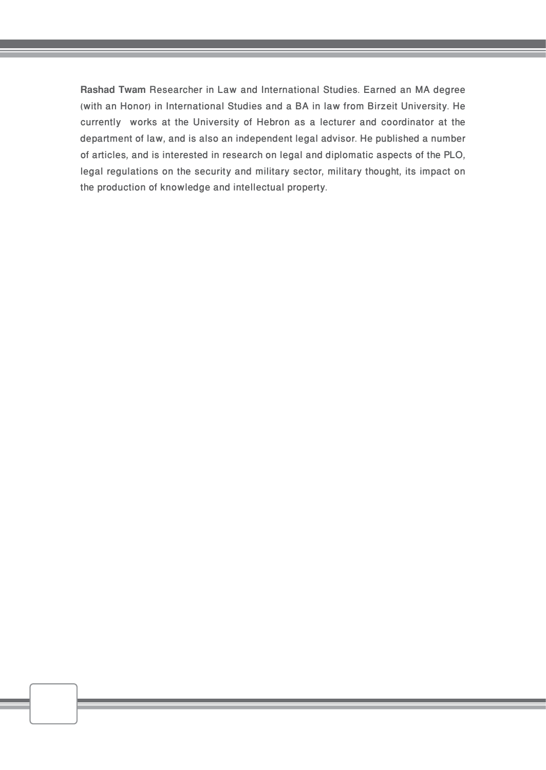**Rashad Twam** Researcher in Law and International Studies. Earned an MA degree (with an Honor) in International Studies and a BA in law from Birzeit University. He currently works at the University of Hebron as a lecturer and coordinator at the department of law, and is also an independent legal advisor. He published a number of articles, and is interested in research on legal and diplomatic aspects of the PLO, legal regulations on the security and military sector, military thought, its impact on the production of knowledge and intellectual property.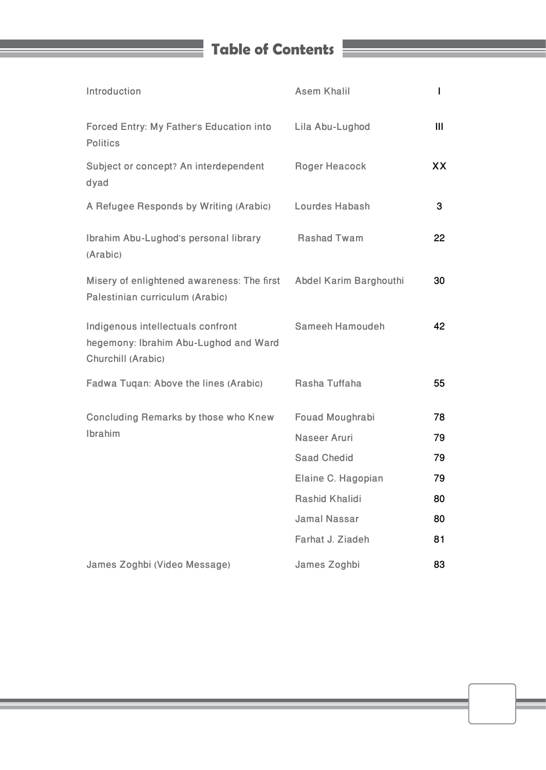# **Table of Contents**

| Introduction                                                                                     | Asem Khalil            | ı  |
|--------------------------------------------------------------------------------------------------|------------------------|----|
| Forced Entry: My Father's Education into<br><b>Politics</b>                                      | Lila Abu-Lughod        | Ш  |
| Subject or concept? An interdependent<br>dyad                                                    | Roger Heacock          | XX |
| A Refugee Responds by Writing (Arabic)                                                           | Lourdes Habash         | 3  |
| Ibrahim Abu-Lughod's personal library<br>(Arabic)                                                | <b>Rashad Twam</b>     | 22 |
| Misery of enlightened awareness: The first<br>Palestinian curriculum (Arabic)                    | Abdel Karim Barghouthi | 30 |
| Indigenous intellectuals confront<br>hegemony: Ibrahim Abu-Lughod and Ward<br>Churchill (Arabic) | Sameeh Hamoudeh        | 42 |
| Fadwa Tuqan: Above the lines (Arabic)                                                            | Rasha Tuffaha          | 55 |
| Concluding Remarks by those who Knew<br>Ibrahim                                                  | Fouad Moughrabi        | 78 |
|                                                                                                  | Naseer Aruri           | 79 |
|                                                                                                  | Saad Chedid            | 79 |
|                                                                                                  | Elaine C. Hagopian     | 79 |
|                                                                                                  | Rashid Khalidi         | 80 |
|                                                                                                  | Jamal Nassar           | 80 |
|                                                                                                  | Farhat J. Ziadeh       | 81 |
| James Zoghbi (Video Message)                                                                     | James Zoghbi           | 83 |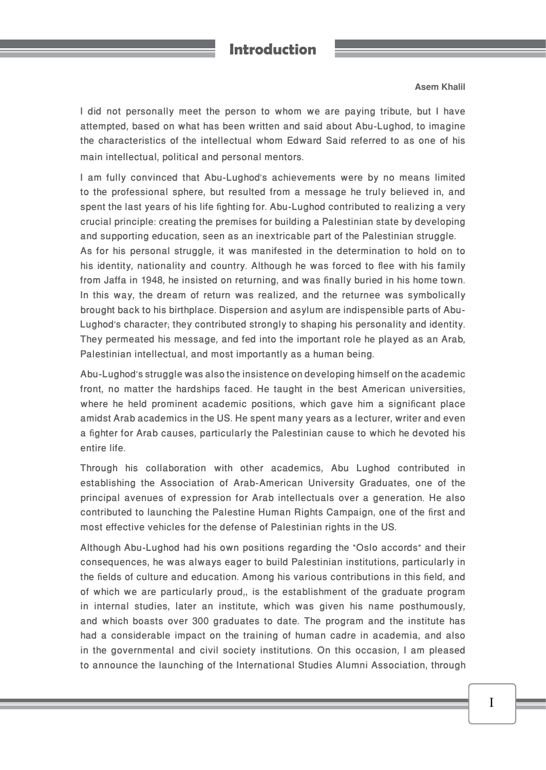**Asem Khalil** 

I did not personally meet the person to whom we are paying tribute, but I have attempted, based on what has been written and said about Abu-Lughod, to imagine the characteristics of the intellectual whom Edward Said referred to as one of his main intellectual, political and personal mentors.

I am fully convinced that Abu-Lughod's achievements were by no means limited to the professional sphere, but resulted from a message he truly believed in, and spent the last years of his life fighting for. Abu-Lughod contributed to realizing a very crucial principle: creating the premises for building a Palestinian state by developing and supporting education, seen as an inextricable part of the Palestinian struggle. As for his personal struggle, it was manifested in the determination to hold on to his identity, nationality and country. Although he was forced to flee with his family from Jaffa in 1948, he insisted on returning, and was finally buried in his home town. In this way, the dream of return was realized, and the returnee was symbolically brought back to his birthplace. Dispersion and asylum are indispensible parts of Abu-Lughod's character; they contributed strongly to shaping his personality and identity. They permeated his message, and fed into the important role he played as an Arab, Palestinian intellectual, and most importantly as a human being.

Abu-Lughod's struggle was also the insistence on developing himself on the academic front, no matter the hardships faced. He taught in the best American universities, where he held prominent academic positions, which gave him a significant place amidst Arab academics in the US. He spent many years as a lecturer, writer and even a fighter for Arab causes, particularly the Palestinian cause to which he devoted his entire life.

Through his collaboration with other academics, Abu Lughod contributed in establishing the Association of Arab-American University Graduates, one of the principal avenues of expression for Arab intellectuals over a generation. He also contributed to launching the Palestine Human Rights Campaign, one of the first and most effective vehicles for the defense of Palestinian rights in the US.

Although Abu-Lughod had his own positions regarding the "Oslo accords" and their consequences, he was always eager to build Palestinian institutions, particularly in the fields of culture and education. Among his various contributions in this field, and of which we are particularly proud,, is the establishment of the graduate program in internal studies, later an institute, which was given his name posthumously, and which boasts over 300 graduates to date. The program and the institute has had a considerable impact on the training of human cadre in academia, and also in the governmental and civil society institutions. On this occasion, I am pleased to announce the launching of the International Studies Alumni Association, through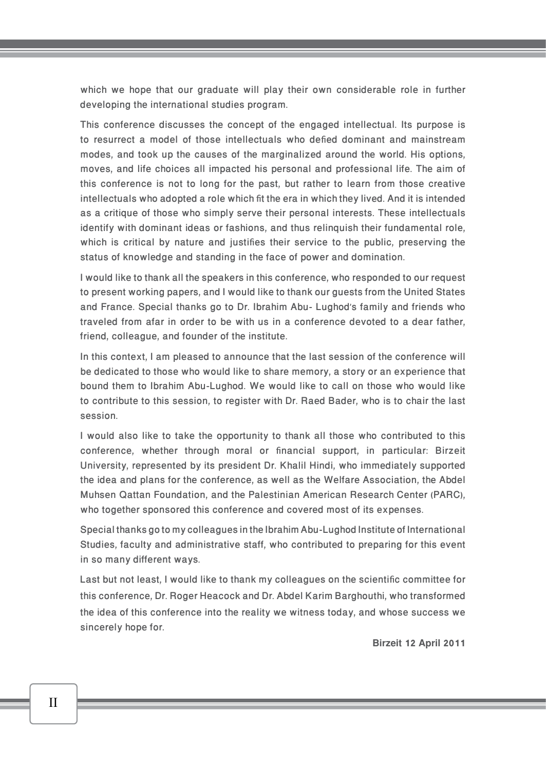which we hope that our graduate will play their own considerable role in further developing the international studies program.

This conference discusses the concept of the engaged intellectual. Its purpose is to resurrect a model of those intellectuals who defied dominant and mainstream modes, and took up the causes of the marginalized around the world. His options, moves, and life choices all impacted his personal and professional life. The aim of this conference is not to long for the past, but rather to learn from those creative intellectuals who adopted a role which fit the era in which they lived. And it is intended as a critique of those who simply serve their personal interests. These intellectuals identify with dominant ideas or fashions, and thus relinquish their fundamental role, which is critical by nature and justifies their service to the public, preserving the status of knowledge and standing in the face of power and domination.

I would like to thank all the speakers in this conference, who responded to our request to present working papers, and I would like to thank our guests from the United States and France. Special thanks go to Dr. Ibrahim Abu- Lughod's family and friends who traveled from afar in order to be with us in a conference devoted to a dear father, friend, colleague, and founder of the institute.

In this context, I am pleased to announce that the last session of the conference will be dedicated to those who would like to share memory, a story or an experience that bound them to Ibrahim Abu-Lughod. We would like to call on those who would like to contribute to this session, to register with Dr. Raed Bader, who is to chair the last session.

I would also like to take the opportunity to thank all those who contributed to this conference, whether through moral or financial support, in particular: Birzeit University, represented by its president Dr. Khalil Hindi, who immediately supported the idea and plans for the conference, as well as the Welfare Association, the Abdel Muhsen Qattan Foundation, and the Palestinian American Research Center (PARC), who together sponsored this conference and covered most of its expenses.

Special thanks go to my colleagues in the Ibrahim Abu-Lughod Institute of International Studies, faculty and administrative staff, who contributed to preparing for this event in so many different ways.

Last but not least, I would like to thank my colleagues on the scientific committee for this conference, Dr. Roger Heacock and Dr. Abdel Karim Barghouthi, who transformed the idea of this conference into the reality we witness today, and whose success we sincerely hope for.

**Birzeit 12 April 2011**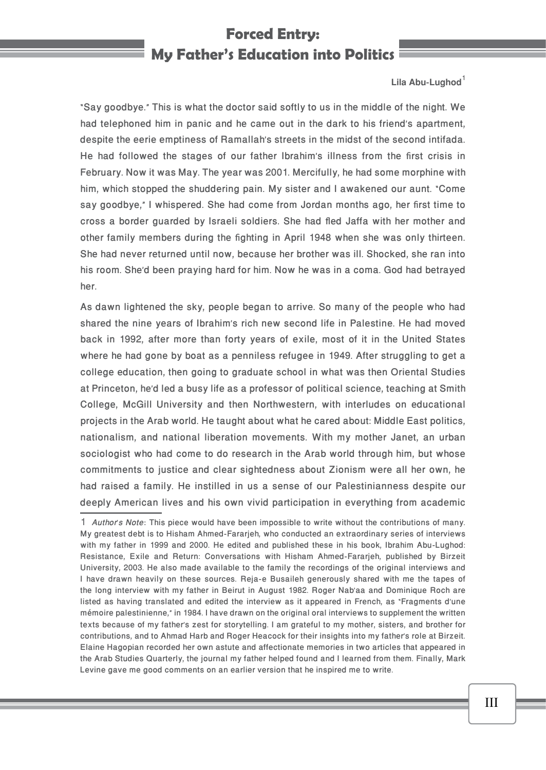### **Forced Entry: My Father's Education into Politics**

Lila Abu-Lughod<sup>1</sup>

"Say goodbye." This is what the doctor said softly to us in the middle of the night. We had telephoned him in panic and he came out in the dark to his friend's apartment, despite the eerie emptiness of Ramallah's streets in the midst of the second intifada. He had followed the stages of our father Ibrahim's illness from the first crisis in February. Now it was May. The year was 2001. Mercifully, he had some morphine with him, which stopped the shuddering pain. My sister and I awakened our aunt. "Come say goodbye," I whispered. She had come from Jordan months ago, her first time to cross a border guarded by Israeli soldiers. She had fled Jaffa with her mother and other family members during the fighting in April 1948 when she was only thirteen. She had never returned until now, because her brother was ill. Shocked, she ran into his room. She'd been praying hard for him. Now he was in a coma. God had betrayed her.

As dawn lightened the sky, people began to arrive. So many of the people who had shared the nine years of Ibrahim's rich new second life in Palestine. He had moved back in 1992, after more than forty years of exile, most of it in the United States where he had gone by boat as a penniless refugee in 1949. After struggling to get a college education, then going to graduate school in what was then Oriental Studies at Princeton, he'd led a busy life as a professor of political science, teaching at Smith College, McGill University and then Northwestern, with interludes on educational projects in the Arab world. He taught about what he cared about: Middle East politics, nationalism, and national liberation movements. With my mother Janet, an urban sociologist who had come to do research in the Arab world through him, but whose commitments to justice and clear sightedness about Zionism were all her own, he had raised a family. He instilled in us a sense of our Palestinianness despite our deeply American lives and his own vivid participation in everything from academic

<sup>1</sup> *Author's Note:* This piece would have been impossible to write without the contributions of many. My greatest debt is to Hisham Ahmed-Fararjeh, who conducted an extraordinary series of interviews with my father in 1999 and 2000. He edited and published these in his book, Ibrahim Abu-Lughod: Resistance, Exile and Return: Conversations with Hisham Ahmed-Fararjeh, published by Birzeit University, 2003. He also made available to the family the recordings of the original interviews and I have drawn heavily on these sources. Reja-e Busaileh generously shared with me the tapes of the long interview with my father in Beirut in August 1982. Roger Nab'aa and Dominique Roch are listed as having translated and edited the interview as it appeared in French, as "Fragments d'une mémoire palestinienne," in 1984. I have drawn on the original oral interviews to supplement the written texts because of my father's zest for storytelling. I am grateful to my mother, sisters, and brother for contributions, and to Ahmad Harb and Roger Heacock for their insights into my father's role at Birzeit. Elaine Hagopian recorded her own astute and affectionate memories in two articles that appeared in the Arab Studies Quarterly, the journal my father helped found and I learned from them. Finally, Mark Levine gave me good comments on an earlier version that he inspired me to write.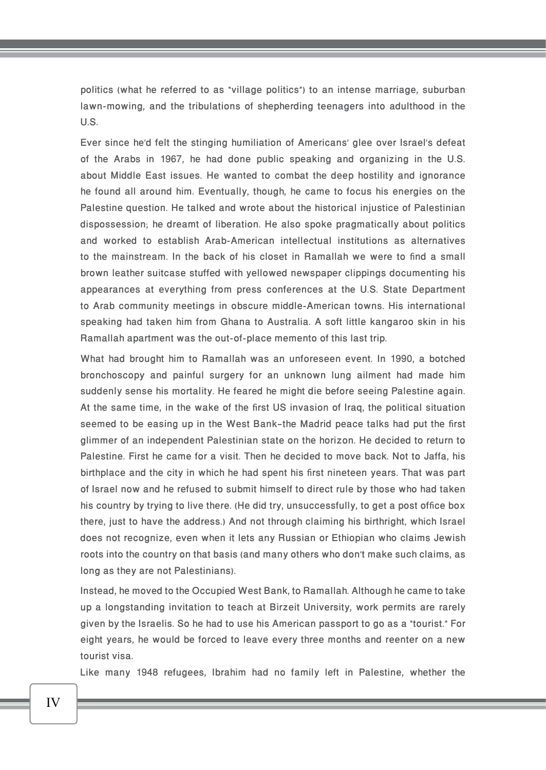politics (what he referred to as "village politics") to an intense marriage, suburban lawn-mowing, and the tribulations of shepherding teenagers into adulthood in the U.S.

Ever since he'd felt the stinging humiliation of Americans' glee over Israel's defeat of the Arabs in 1967, he had done public speaking and organizing in the U.S. about Middle East issues. He wanted to combat the deep hostility and ignorance he found all around him. Eventually, though, he came to focus his energies on the Palestine question. He talked and wrote about the historical injustice of Palestinian dispossession; he dreamt of liberation. He also spoke pragmatically about politics and worked to establish Arab-American intellectual institutions as alternatives to the mainstream. In the back of his closet in Ramallah we were to find a small brown leather suitcase stuffed with yellowed newspaper clippings documenting his appearances at everything from press conferences at the U.S. State Department to Arab community meetings in obscure middle-American towns. His international speaking had taken him from Ghana to Australia. A soft little kangaroo skin in his Ramallah apartment was the out-of-place memento of this last trip.

What had brought him to Ramallah was an unforeseen event. In 1990, a botched bronchoscopy and painful surgery for an unknown lung ailment had made him suddenly sense his mortality. He feared he might die before seeing Palestine again. At the same time, in the wake of the first US invasion of Iraq, the political situation seemed to be easing up in the West Bank—the Madrid peace talks had put the first glimmer of an independent Palestinian state on the horizon. He decided to return to Palestine. First he came for a visit. Then he decided to move back. Not to Jaffa, his birthplace and the city in which he had spent his first nineteen years. That was part of Israel now and he refused to submit himself to direct rule by those who had taken his country by trying to live there. (He did try, unsuccessfully, to get a post office box there, just to have the address.) And not through claiming his birthright, which Israel does not recognize, even when it lets any Russian or Ethiopian who claims Jewish roots into the country on that basis (and many others who don't make such claims, as long as they are not Palestinians).

Instead, he moved to the Occupied West Bank, to Ramallah. Although he came to take up a longstanding invitation to teach at Birzeit University, work permits are rarely given by the Israelis. So he had to use his American passport to go as a "tourist." For eight years, he would be forced to leave every three months and reenter on a new tourist visa.

Like many 1948 refugees, Ibrahim had no family left in Palestine, whether the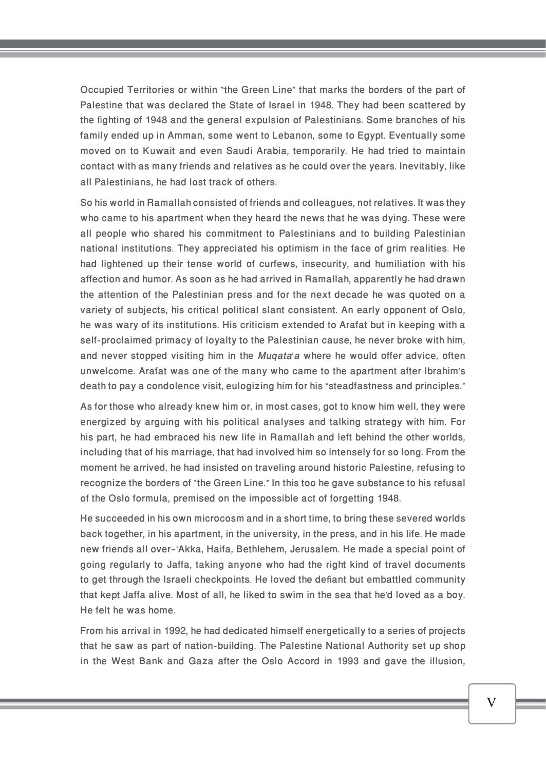Occupied Territories or within "the Green Line" that marks the borders of the part of Palestine that was declared the State of Israel in 1948. They had been scattered by the fighting of 1948 and the general expulsion of Palestinians. Some branches of his family ended up in Amman, some went to Lebanon, some to Egypt. Eventually some moved on to Kuwait and even Saudi Arabia, temporarily. He had tried to maintain contact with as many friends and relatives as he could over the years. Inevitably, like all Palestinians, he had lost track of others.

So his world in Ramallah consisted of friends and colleagues, not relatives. It was they who came to his apartment when they heard the news that he was dying. These were all people who shared his commitment to Palestinians and to building Palestinian national institutions. They appreciated his optimism in the face of grim realities. He had lightened up their tense world of curfews, insecurity, and humiliation with his affection and humor. As soon as he had arrived in Ramallah, apparently he had drawn the attention of the Palestinian press and for the next decade he was quoted on a variety of subjects, his critical political slant consistent. An early opponent of Oslo, he was wary of its institutions. His criticism extended to Arafat but in keeping with a self-proclaimed primacy of loyalty to the Palestinian cause, he never broke with him, and never stopped visiting him in the *Muqata'a* where he would offer advice, often unwelcome. Arafat was one of the many who came to the apartment after Ibrahim's death to pay a condolence visit, eulogizing him for his "steadfastness and principles."

As for those who already knew him or, in most cases, got to know him well, they were energized by arguing with his political analyses and talking strategy with him. For his part, he had embraced his new life in Ramallah and left behind the other worlds, including that of his marriage, that had involved him so intensely for so long. From the moment he arrived, he had insisted on traveling around historic Palestine, refusing to recognize the borders of "the Green Line." In this too he gave substance to his refusal of the Oslo formula, premised on the impossible act of forgetting 1948.

He succeeded in his own microcosm and in a short time, to bring these severed worlds back together, in his apartment, in the university, in the press, and in his life. He made new friends all over—'Akka, Haifa, Bethlehem, Jerusalem. He made a special point of going regularly to Jaffa, taking anyone who had the right kind of travel documents to get through the Israeli checkpoints. He loved the defiant but embattled community that kept Jaffa alive. Most of all, he liked to swim in the sea that he'd loved as a boy. He felt he was home.

From his arrival in 1992, he had dedicated himself energetically to a series of projects that he saw as part of nation-building. The Palestine National Authority set up shop in the West Bank and Gaza after the Oslo Accord in 1993 and gave the illusion,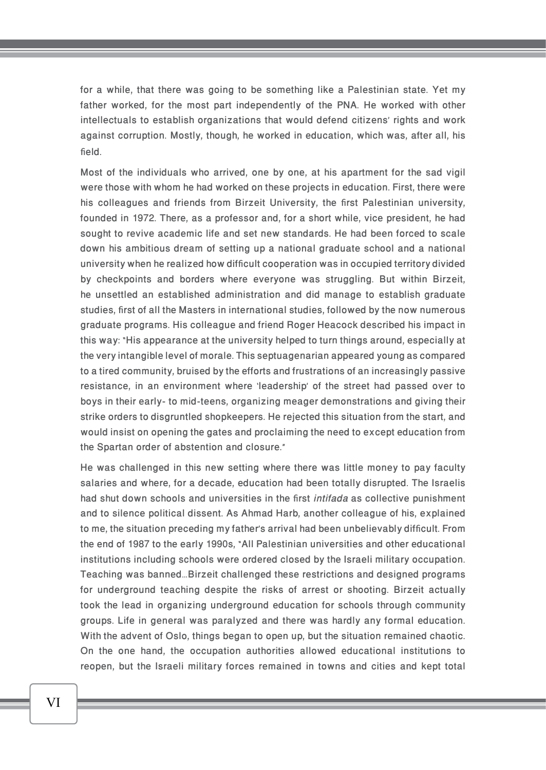for a while, that there was going to be something like a Palestinian state. Yet my father worked, for the most part independently of the PNA. He worked with other intellectuals to establish organizations that would defend citizens' rights and work against corruption. Mostly, though, he worked in education, which was, after all, his field.

Most of the individuals who arrived, one by one, at his apartment for the sad vigil were those with whom he had worked on these projects in education. First, there were his colleagues and friends from Birzeit University, the first Palestinian university, founded in 1972. There, as a professor and, for a short while, vice president, he had sought to revive academic life and set new standards. He had been forced to scale down his ambitious dream of setting up a national graduate school and a national university when he realized how difficult cooperation was in occupied territory divided by checkpoints and borders where everyone was struggling. But within Birzeit, he unsettled an established administration and did manage to establish graduate studies, first of all the Masters in international studies, followed by the now numerous graduate programs. His colleague and friend Roger Heacock described his impact in this way: "His appearance at the university helped to turn things around, especially at the very intangible level of morale. This septuagenarian appeared young as compared to a tired community, bruised by the efforts and frustrations of an increasingly passive resistance, in an environment where 'leadership' of the street had passed over to boys in their early- to mid-teens, organizing meager demonstrations and giving their strike orders to disgruntled shopkeepers. He rejected this situation from the start, and would insist on opening the gates and proclaiming the need to except education from the Spartan order of abstention and closure."

He was challenged in this new setting where there was little money to pay faculty salaries and where, for a decade, education had been totally disrupted. The Israelis had shut down schools and universities in the first *intifada* as collective punishment and to silence political dissent. As Ahmad Harb, another colleague of his, explained to me, the situation preceding my father's arrival had been unbelievably difficult. From the end of 1987 to the early 1990s, "All Palestinian universities and other educational institutions including schools were ordered closed by the Israeli military occupation. Teaching was banned…Birzeit challenged these restrictions and designed programs for underground teaching despite the risks of arrest or shooting. Birzeit actually took the lead in organizing underground education for schools through community groups. Life in general was paralyzed and there was hardly any formal education. With the advent of Oslo, things began to open up, but the situation remained chaotic. On the one hand, the occupation authorities allowed educational institutions to reopen, but the Israeli military forces remained in towns and cities and kept total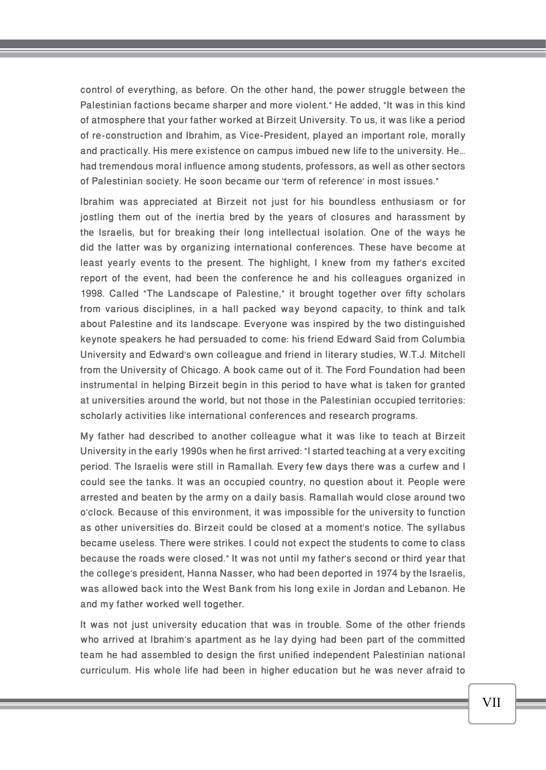control of everything, as before. On the other hand, the power struggle between the Palestinian factions became sharper and more violent." He added, "It was in this kind of atmosphere that your father worked at Birzeit University. To us, it was like a period of re-construction and Ibrahim, as Vice-President, played an important role, morally and practically. His mere existence on campus imbued new life to the university. He… had tremendous moral influence among students, professors, as well as other sectors of Palestinian society. He soon became our 'term of reference' in most issues."

Ibrahim was appreciated at Birzeit not just for his boundless enthusiasm or for jostling them out of the inertia bred by the years of closures and harassment by the Israelis, but for breaking their long intellectual isolation. One of the ways he did the latter was by organizing international conferences. These have become at least yearly events to the present. The highlight, I knew from my father's excited report of the event, had been the conference he and his colleagues organized in 1998. Called "The Landscape of Palestine," it brought together over fifty scholars from various disciplines, in a hall packed way beyond capacity, to think and talk about Palestine and its landscape. Everyone was inspired by the two distinguished keynote speakers he had persuaded to come: his friend Edward Said from Columbia University and Edward's own colleague and friend in literary studies, W.T.J. Mitchell from the University of Chicago. A book came out of it. The Ford Foundation had been instrumental in helping Birzeit begin in this period to have what is taken for granted at universities around the world, but not those in the Palestinian occupied territories: scholarly activities like international conferences and research programs.

My father had described to another colleague what it was like to teach at Birzeit University in the early 1990s when he first arrived: "I started teaching at a very exciting period. The Israelis were still in Ramallah. Every few days there was a curfew and I could see the tanks. It was an occupied country, no question about it. People were arrested and beaten by the army on a daily basis. Ramallah would close around two o'clock. Because of this environment, it was impossible for the university to function as other universities do. Birzeit could be closed at a moment's notice. The syllabus became useless. There were strikes. I could not expect the students to come to class because the roads were closed." It was not until my father's second or third year that the college's president, Hanna Nasser, who had been deported in 1974 by the Israelis, was allowed back into the West Bank from his long exile in Jordan and Lebanon. He and my father worked well together.

It was not just university education that was in trouble. Some of the other friends who arrived at Ibrahim's apartment as he lay dying had been part of the committed team he had assembled to design the first unified independent Palestinian national curriculum. His whole life had been in higher education but he was never afraid to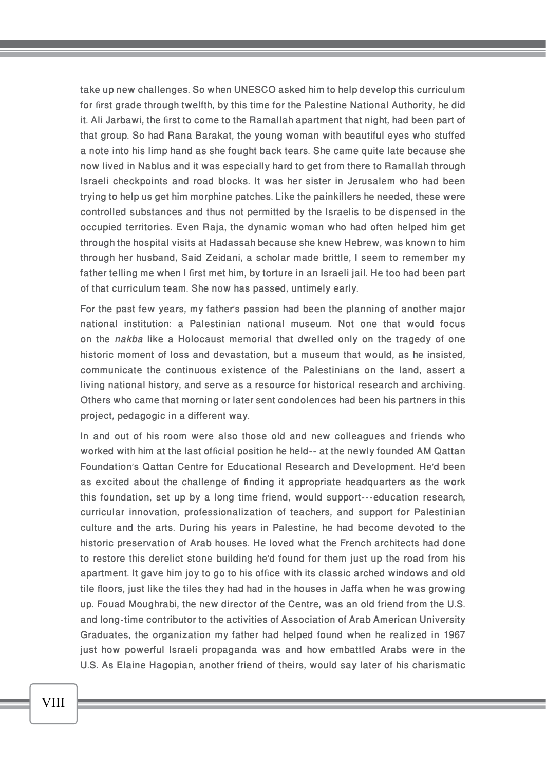take up new challenges. So when UNESCO asked him to help develop this curriculum for first grade through twelfth, by this time for the Palestine National Authority, he did it. Ali Jarbawi, the first to come to the Ramallah apartment that night, had been part of that group. So had Rana Barakat, the young woman with beautiful eyes who stuffed a note into his limp hand as she fought back tears. She came quite late because she now lived in Nablus and it was especially hard to get from there to Ramallah through Israeli checkpoints and road blocks. It was her sister in Jerusalem who had been trying to help us get him morphine patches. Like the painkillers he needed, these were controlled substances and thus not permitted by the Israelis to be dispensed in the occupied territories. Even Raja, the dynamic woman who had often helped him get through the hospital visits at Hadassah because she knew Hebrew, was known to him through her husband, Said Zeidani, a scholar made brittle, I seem to remember my father telling me when I first met him, by torture in an Israeli jail. He too had been part of that curriculum team. She now has passed, untimely early.

For the past few years, my father's passion had been the planning of another major national institution: a Palestinian national museum. Not one that would focus on the *nakba* like a Holocaust memorial that dwelled only on the tragedy of one historic moment of loss and devastation, but a museum that would, as he insisted, communicate the continuous existence of the Palestinians on the land, assert a living national history, and serve as a resource for historical research and archiving. Others who came that morning or later sent condolences had been his partners in this project, pedagogic in a different way.

In and out of his room were also those old and new colleagues and friends who worked with him at the last official position he held-- at the newly founded AM Qattan Foundation's Qattan Centre for Educational Research and Development. He'd been as excited about the challenge of finding it appropriate headquarters as the work this foundation, set up by a long time friend, would support---education research, curricular innovation, professionalization of teachers, and support for Palestinian culture and the arts. During his years in Palestine, he had become devoted to the historic preservation of Arab houses. He loved what the French architects had done to restore this derelict stone building he'd found for them just up the road from his apartment. It gave him joy to go to his office with its classic arched windows and old tile floors, just like the tiles they had had in the houses in Jaffa when he was growing up. Fouad Moughrabi, the new director of the Centre, was an old friend from the U.S. and long-time contributor to the activities of Association of Arab American University Graduates, the organization my father had helped found when he realized in 1967 just how powerful Israeli propaganda was and how embattled Arabs were in the U.S. As Elaine Hagopian, another friend of theirs, would say later of his charismatic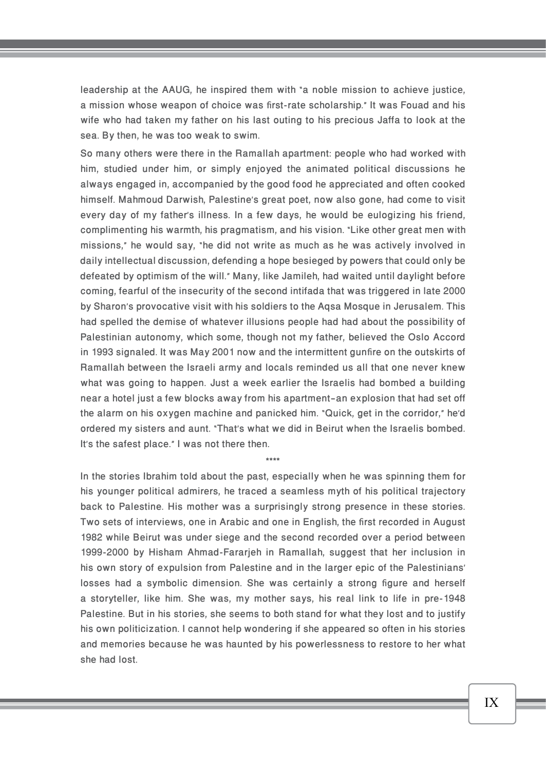leadership at the AAUG, he inspired them with "a noble mission to achieve justice, a mission whose weapon of choice was first-rate scholarship." It was Fouad and his wife who had taken my father on his last outing to his precious Jaffa to look at the sea. By then, he was too weak to swim.

So many others were there in the Ramallah apartment: people who had worked with him, studied under him, or simply enjoyed the animated political discussions he always engaged in, accompanied by the good food he appreciated and often cooked himself. Mahmoud Darwish, Palestine's great poet, now also gone, had come to visit every day of my father's illness. In a few days, he would be eulogizing his friend, complimenting his warmth, his pragmatism, and his vision. "Like other great men with missions," he would say, "he did not write as much as he was actively involved in daily intellectual discussion, defending a hope besieged by powers that could only be defeated by optimism of the will." Many, like Jamileh, had waited until daylight before coming, fearful of the insecurity of the second intifada that was triggered in late 2000 by Sharon's provocative visit with his soldiers to the Aqsa Mosque in Jerusalem. This had spelled the demise of whatever illusions people had had about the possibility of Palestinian autonomy, which some, though not my father, believed the Oslo Accord in 1993 signaled. It was May 2001 now and the intermittent gunfire on the outskirts of Ramallah between the Israeli army and locals reminded us all that one never knew what was going to happen. Just a week earlier the Israelis had bombed a building near a hotel just a few blocks away from his apartment—an explosion that had set off the alarm on his oxygen machine and panicked him. "Quick, get in the corridor," he'd ordered my sisters and aunt. "That's what we did in Beirut when the Israelis bombed. It's the safest place." I was not there then.

In the stories Ibrahim told about the past, especially when he was spinning them for his younger political admirers, he traced a seamless myth of his political trajectory back to Palestine. His mother was a surprisingly strong presence in these stories. Two sets of interviews, one in Arabic and one in English, the first recorded in August 1982 while Beirut was under siege and the second recorded over a period between 1999-2000 by Hisham Ahmad-Fararjeh in Ramallah, suggest that her inclusion in his own story of expulsion from Palestine and in the larger epic of the Palestinians' losses had a symbolic dimension. She was certainly a strong figure and herself a storyteller, like him. She was, my mother says, his real link to life in pre-1948 Palestine. But in his stories, she seems to both stand for what they lost and to justify his own politicization. I cannot help wondering if she appeared so often in his stories and memories because he was haunted by his powerlessness to restore to her what she had lost.

\*\*\*\*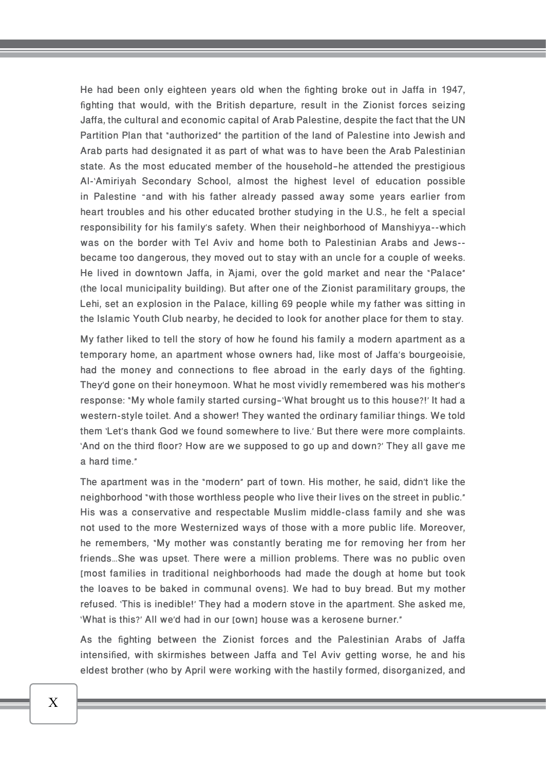He had been only eighteen years old when the fighting broke out in Jaffa in 1947, fighting that would, with the British departure, result in the Zionist forces seizing Jaffa, the cultural and economic capital of Arab Palestine, despite the fact that the UN Partition Plan that "authorized" the partition of the land of Palestine into Jewish and Arab parts had designated it as part of what was to have been the Arab Palestinian state. As the most educated member of the household—he attended the prestigious Al-'Amiriyah Secondary School, almost the highest level of education possible in Palestine –and with his father already passed away some years earlier from heart troubles and his other educated brother studying in the U.S., he felt a special responsibility for his family's safety. When their neighborhood of Manshiyya--which was on the border with Tel Aviv and home both to Palestinian Arabs and Jews- became too dangerous, they moved out to stay with an uncle for a couple of weeks. He lived in downtown Jaffa, in `Ajami, over the gold market and near the "Palace" (the local municipality building). But after one of the Zionist paramilitary groups, the Lehi, set an explosion in the Palace, killing 69 people while my father was sitting in the Islamic Youth Club nearby, he decided to look for another place for them to stay.

My father liked to tell the story of how he found his family a modern apartment as a temporary home, an apartment whose owners had, like most of Jaffa's bourgeoisie, had the money and connections to flee abroad in the early days of the fighting. They'd gone on their honeymoon. What he most vividly remembered was his mother's response: "My whole family started cursing—'What brought us to this house?!' It had a western-style toilet. And a shower! They wanted the ordinary familiar things. We told them 'Let's thank God we found somewhere to live.' But there were more complaints. 'And on the third floor? How are we supposed to go up and down?' They all gave me a hard time."

The apartment was in the "modern" part of town. His mother, he said, didn't like the neighborhood "with those worthless people who live their lives on the street in public." His was a conservative and respectable Muslim middle-class family and she was not used to the more Westernized ways of those with a more public life. Moreover, he remembers, "My mother was constantly berating me for removing her from her friends…She was upset. There were a million problems. There was no public oven [most families in traditional neighborhoods had made the dough at home but took the loaves to be baked in communal ovens]. We had to buy bread. But my mother refused. 'This is inedible!' They had a modern stove in the apartment. She asked me, 'What is this?' All we'd had in our [own] house was a kerosene burner."

As the fighting between the Zionist forces and the Palestinian Arabs of Jaffa intensified, with skirmishes between Jaffa and Tel Aviv getting worse, he and his eldest brother (who by April were working with the hastily formed, disorganized, and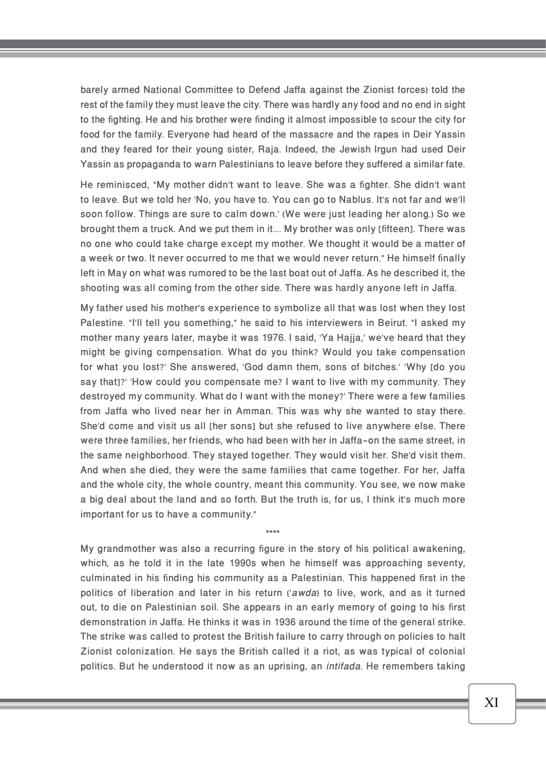barely armed National Committee to Defend Jaffa against the Zionist forces) told the rest of the family they must leave the city. There was hardly any food and no end in sight to the fighting. He and his brother were finding it almost impossible to scour the city for food for the family. Everyone had heard of the massacre and the rapes in Deir Yassin and they feared for their young sister, Raja. Indeed, the Jewish Irgun had used Deir Yassin as propaganda to warn Palestinians to leave before they suffered a similar fate.

He reminisced, "My mother didn't want to leave. She was a fighter. She didn't want to leave. But we told her 'No, you have to. You can go to Nablus. It's not far and we'll soon follow. Things are sure to calm down.' (We were just leading her along.) So we brought them a truck. And we put them in it…. My brother was only [fifteen]. There was no one who could take charge except my mother. We thought it would be a matter of a week or two. It never occurred to me that we would never return." He himself finally left in May on what was rumored to be the last boat out of Jaffa. As he described it, the shooting was all coming from the other side. There was hardly anyone left in Jaffa.

My father used his mother's experience to symbolize all that was lost when they lost Palestine. "I'll tell you something," he said to his interviewers in Beirut. "I asked my mother many years later, maybe it was 1976. I said, 'Ya Hajja,' we've heard that they might be giving compensation. What do you think? Would you take compensation for what you lost?' She answered, 'God damn them, sons of bitches.' 'Why [do you say that]?' 'How could you compensate me? I want to live with my community. They destroyed my community. What do I want with the money?' There were a few families from Jaffa who lived near her in Amman. This was why she wanted to stay there. She'd come and visit us all [her sons] but she refused to live anywhere else. There were three families, her friends, who had been with her in Jaffa—on the same street, in the same neighborhood. They stayed together. They would visit her. She'd visit them. And when she died, they were the same families that came together. For her, Jaffa and the whole city, the whole country, meant this community. You see, we now make a big deal about the land and so forth. But the truth is, for us, I think it's much more important for us to have a community."

My grandmother was also a recurring figure in the story of his political awakening, which, as he told it in the late 1990s when he himself was approaching seventy, culminated in his finding his community as a Palestinian. This happened first in the politics of liberation and later in his return ('*awda*) to live, work, and as it turned out, to die on Palestinian soil. She appears in an early memory of going to his first demonstration in Jaffa. He thinks it was in 1936 around the time of the general strike. The strike was called to protest the British failure to carry through on policies to halt Zionist colonization. He says the British called it a riot, as was typical of colonial politics. But he understood it now as an uprising, an *intifada*. He remembers taking

\*\*\*\*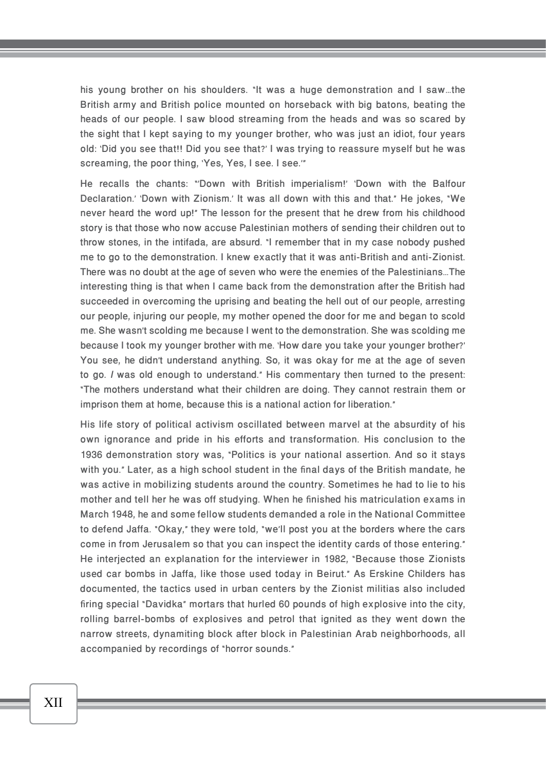his young brother on his shoulders. "It was a huge demonstration and I saw…the British army and British police mounted on horseback with big batons, beating the heads of our people. I saw blood streaming from the heads and was so scared by the sight that I kept saying to my younger brother, who was just an idiot, four years old: 'Did you see that!! Did you see that?' I was trying to reassure myself but he was screaming, the poor thing, 'Yes, Yes, I see. I see.'"

He recalls the chants: "'Down with British imperialism!' 'Down with the Balfour Declaration.' 'Down with Zionism.' It was all down with this and that." He jokes, "We never heard the word up!" The lesson for the present that he drew from his childhood story is that those who now accuse Palestinian mothers of sending their children out to throw stones, in the intifada, are absurd. "I remember that in my case nobody pushed me to go to the demonstration. I knew exactly that it was anti-British and anti-Zionist. There was no doubt at the age of seven who were the enemies of the Palestinians…The interesting thing is that when I came back from the demonstration after the British had succeeded in overcoming the uprising and beating the hell out of our people, arresting our people, injuring our people, my mother opened the door for me and began to scold me. She wasn't scolding me because I went to the demonstration. She was scolding me because I took my younger brother with me. 'How dare you take your younger brother?' You see, he didn't understand anything. So, it was okay for me at the age of seven to go. *I* was old enough to understand." His commentary then turned to the present: "The mothers understand what their children are doing. They cannot restrain them or imprison them at home, because this is a national action for liberation."

His life story of political activism oscillated between marvel at the absurdity of his own ignorance and pride in his efforts and transformation. His conclusion to the 1936 demonstration story was, "Politics is your national assertion. And so it stays with you." Later, as a high school student in the final days of the British mandate, he was active in mobilizing students around the country. Sometimes he had to lie to his mother and tell her he was off studying. When he finished his matriculation exams in March 1948, he and some fellow students demanded a role in the National Committee to defend Jaffa. "Okay," they were told, "we'll post you at the borders where the cars come in from Jerusalem so that you can inspect the identity cards of those entering." He interjected an explanation for the interviewer in 1982, "Because those Zionists used car bombs in Jaffa, like those used today in Beirut." As Erskine Childers has documented, the tactics used in urban centers by the Zionist militias also included firing special "Davidka" mortars that hurled 60 pounds of high explosive into the city, rolling barrel-bombs of explosives and petrol that ignited as they went down the narrow streets, dynamiting block after block in Palestinian Arab neighborhoods, all accompanied by recordings of "horror sounds."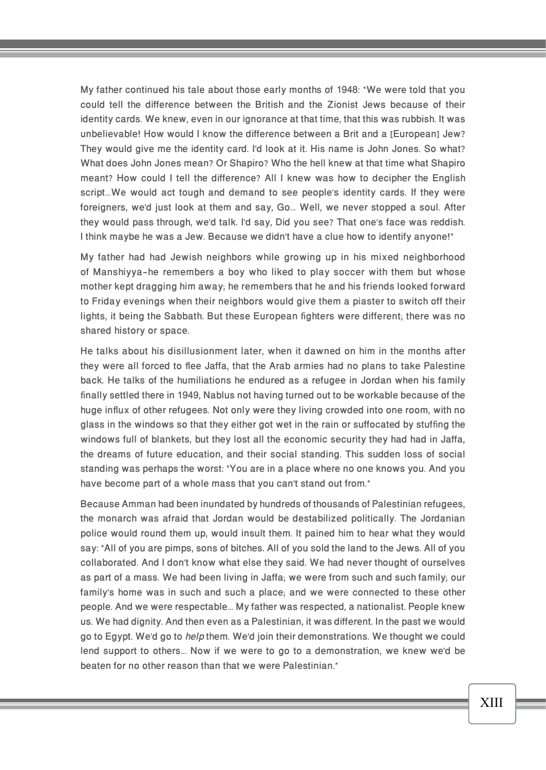My father continued his tale about those early months of 1948: "We were told that you could tell the difference between the British and the Zionist Jews because of their identity cards. We knew, even in our ignorance at that time, that this was rubbish. It was unbelievable! How would I know the difference between a Brit and a [European] Jew? They would give me the identity card. I'd look at it. His name is John Jones. So what? What does John Jones mean? Or Shapiro? Who the hell knew at that time what Shapiro meant? How could I tell the difference? All I knew was how to decipher the English script…We would act tough and demand to see people's identity cards. If they were foreigners, we'd just look at them and say, Go… Well, we never stopped a soul. After they would pass through, we'd talk. I'd say, Did you see? That one's face was reddish. I think maybe he was a Jew. Because we didn't have a clue how to identify anyone!"

My father had had Jewish neighbors while growing up in his mixed neighborhood of Manshiyya—he remembers a boy who liked to play soccer with them but whose mother kept dragging him away; he remembers that he and his friends looked forward to Friday evenings when their neighbors would give them a piaster to switch off their lights, it being the Sabbath. But these European fighters were different; there was no shared history or space.

He talks about his disillusionment later, when it dawned on him in the months after they were all forced to flee Jaffa, that the Arab armies had no plans to take Palestine back. He talks of the humiliations he endured as a refugee in Jordan when his family finally settled there in 1949, Nablus not having turned out to be workable because of the huge influx of other refugees. Not only were they living crowded into one room, with no glass in the windows so that they either got wet in the rain or suffocated by stuffing the windows full of blankets, but they lost all the economic security they had had in Jaffa, the dreams of future education, and their social standing. This sudden loss of social standing was perhaps the worst: "You are in a place where no one knows you. And you have become part of a whole mass that you can't stand out from."

Because Amman had been inundated by hundreds of thousands of Palestinian refugees, the monarch was afraid that Jordan would be destabilized politically. The Jordanian police would round them up, would insult them. It pained him to hear what they would say: "All of you are pimps, sons of bitches. All of you sold the land to the Jews. All of you collaborated. And I don't know what else they said. We had never thought of ourselves as part of a mass. We had been living in Jaffa; we were from such and such family; our family's home was in such and such a place; and we were connected to these other people. And we were respectable… My father was respected, a nationalist. People knew us. We had dignity. And then even as a Palestinian, it was different. In the past we would go to Egypt. We'd go to *help* them. We'd join their demonstrations. We thought we could lend support to others… Now if we were to go to a demonstration, we knew we'd be beaten for no other reason than that we were Palestinian."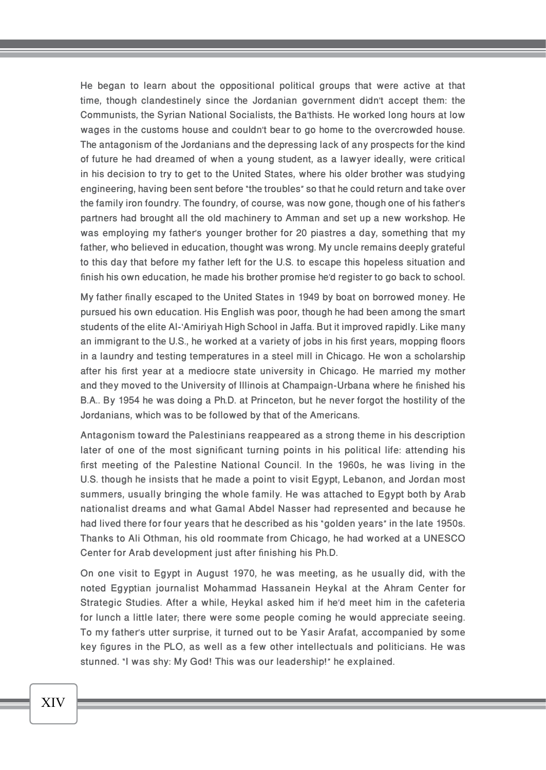He began to learn about the oppositional political groups that were active at that time, though clandestinely since the Jordanian government didn't accept them: the Communists, the Syrian National Socialists, the Ba'thists. He worked long hours at low wages in the customs house and couldn't bear to go home to the overcrowded house. The antagonism of the Jordanians and the depressing lack of any prospects for the kind of future he had dreamed of when a young student, as a lawyer ideally, were critical in his decision to try to get to the United States, where his older brother was studying engineering, having been sent before "the troubles" so that he could return and take over the family iron foundry. The foundry, of course, was now gone, though one of his father's partners had brought all the old machinery to Amman and set up a new workshop. He was employing my father's younger brother for 20 piastres a day, something that my father, who believed in education, thought was wrong. My uncle remains deeply grateful to this day that before my father left for the U.S. to escape this hopeless situation and finish his own education, he made his brother promise he'd register to go back to school.

My father finally escaped to the United States in 1949 by boat on borrowed money. He pursued his own education. His English was poor, though he had been among the smart students of the elite Al-'Amiriyah High School in Jaffa. But it improved rapidly. Like many an immigrant to the U.S., he worked at a variety of jobs in his first years, mopping floors in a laundry and testing temperatures in a steel mill in Chicago. He won a scholarship after his first year at a mediocre state university in Chicago. He married my mother and they moved to the University of Illinois at Champaign-Urbana where he finished his B.A.. By 1954 he was doing a Ph.D. at Princeton, but he never forgot the hostility of the Jordanians, which was to be followed by that of the Americans.

Antagonism toward the Palestinians reappeared as a strong theme in his description later of one of the most significant turning points in his political life: attending his first meeting of the Palestine National Council. In the 1960s, he was living in the U.S. though he insists that he made a point to visit Egypt, Lebanon, and Jordan most summers, usually bringing the whole family. He was attached to Egypt both by Arab nationalist dreams and what Gamal Abdel Nasser had represented and because he had lived there for four years that he described as his "golden years" in the late 1950s. Thanks to Ali Othman, his old roommate from Chicago, he had worked at a UNESCO Center for Arab development just after finishing his Ph.D.

On one visit to Egypt in August 1970, he was meeting, as he usually did, with the noted Egyptian journalist Mohammad Hassanein Heykal at the Ahram Center for Strategic Studies. After a while, Heykal asked him if he'd meet him in the cafeteria for lunch a little later; there were some people coming he would appreciate seeing. To my father's utter surprise, it turned out to be Yasir Arafat, accompanied by some key figures in the PLO, as well as a few other intellectuals and politicians. He was stunned. "I was shy: My God! This was our leadership!" he explained.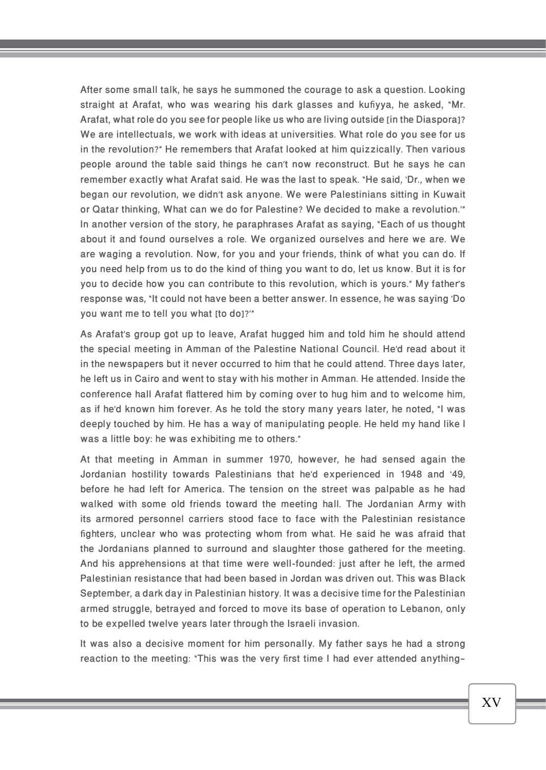After some small talk, he says he summoned the courage to ask a question. Looking straight at Arafat, who was wearing his dark glasses and kufiyya, he asked, "Mr. Arafat, what role do you see for people like us who are living outside [in the Diaspora]? We are intellectuals, we work with ideas at universities. What role do you see for us in the revolution?" He remembers that Arafat looked at him quizzically. Then various people around the table said things he can't now reconstruct. But he says he can remember exactly what Arafat said. He was the last to speak. "He said, 'Dr., when we began our revolution, we didn't ask anyone. We were Palestinians sitting in Kuwait or Qatar thinking, What can we do for Palestine? We decided to make a revolution.'" In another version of the story, he paraphrases Arafat as saying, "Each of us thought about it and found ourselves a role. We organized ourselves and here we are. We are waging a revolution. Now, for you and your friends, think of what you can do. If you need help from us to do the kind of thing you want to do, let us know. But it is for you to decide how you can contribute to this revolution, which is yours." My father's response was, "It could not have been a better answer. In essence, he was saying 'Do you want me to tell you what [to do]?'"

As Arafat's group got up to leave, Arafat hugged him and told him he should attend the special meeting in Amman of the Palestine National Council. He'd read about it in the newspapers but it never occurred to him that he could attend. Three days later, he left us in Cairo and went to stay with his mother in Amman. He attended. Inside the conference hall Arafat flattered him by coming over to hug him and to welcome him, as if he'd known him forever. As he told the story many years later, he noted, "I was deeply touched by him. He has a way of manipulating people. He held my hand like I was a little boy: he was exhibiting me to others."

At that meeting in Amman in summer 1970, however, he had sensed again the Jordanian hostility towards Palestinians that he'd experienced in 1948 and '49, before he had left for America. The tension on the street was palpable as he had walked with some old friends toward the meeting hall. The Jordanian Army with its armored personnel carriers stood face to face with the Palestinian resistance fighters, unclear who was protecting whom from what. He said he was afraid that the Jordanians planned to surround and slaughter those gathered for the meeting. And his apprehensions at that time were well-founded: just after he left, the armed Palestinian resistance that had been based in Jordan was driven out. This was Black September, a dark day in Palestinian history. It was a decisive time for the Palestinian armed struggle, betrayed and forced to move its base of operation to Lebanon, only to be expelled twelve years later through the Israeli invasion.

It was also a decisive moment for him personally. My father says he had a strong reaction to the meeting: "This was the very first time I had ever attended anything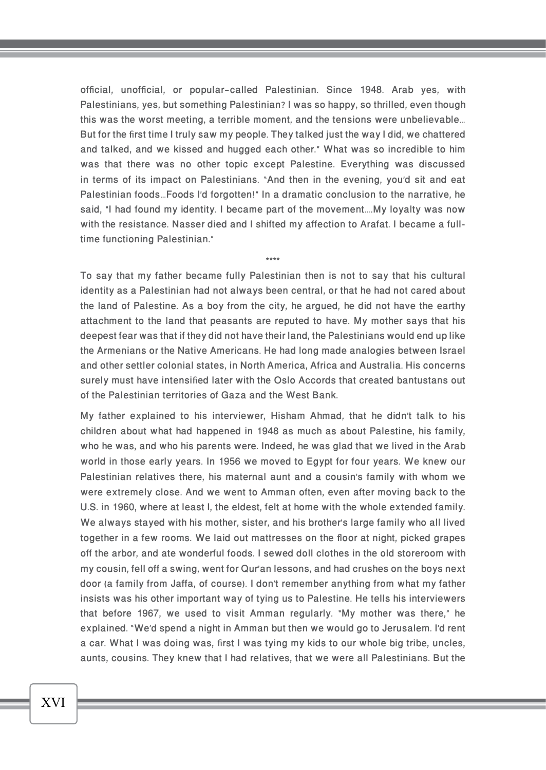official, unofficial, or popular—called Palestinian. Since 1948. Arab yes, with Palestinians, yes, but something Palestinian? I was so happy, so thrilled, even though this was the worst meeting, a terrible moment, and the tensions were unbelievable… But for the first time I truly saw my people. They talked just the way I did, we chattered and talked, and we kissed and hugged each other." What was so incredible to him was that there was no other topic except Palestine. Everything was discussed in terms of its impact on Palestinians. "And then in the evening, you'd sit and eat Palestinian foods…Foods I'd forgotten!" In a dramatic conclusion to the narrative, he said, "I had found my identity. I became part of the movement….My loyalty was now with the resistance. Nasser died and I shifted my affection to Arafat. I became a fulltime functioning Palestinian."

\*\*\*\* To say that my father became fully Palestinian then is not to say that his cultural identity as a Palestinian had not always been central, or that he had not cared about the land of Palestine. As a boy from the city, he argued, he did not have the earthy attachment to the land that peasants are reputed to have. My mother says that his deepest fear was that if they did not have their land, the Palestinians would end up like the Armenians or the Native Americans. He had long made analogies between Israel and other settler colonial states, in North America, Africa and Australia. His concerns surely must have intensified later with the Oslo Accords that created bantustans out of the Palestinian territories of Gaza and the West Bank.

My father explained to his interviewer, Hisham Ahmad, that he didn't talk to his children about what had happened in 1948 as much as about Palestine, his family, who he was, and who his parents were. Indeed, he was glad that we lived in the Arab world in those early years. In 1956 we moved to Egypt for four years. We knew our Palestinian relatives there, his maternal aunt and a cousin's family with whom we were extremely close. And we went to Amman often, even after moving back to the U.S. in 1960, where at least I, the eldest, felt at home with the whole extended family. We always stayed with his mother, sister, and his brother's large family who all lived together in a few rooms. We laid out mattresses on the floor at night, picked grapes off the arbor, and ate wonderful foods. I sewed doll clothes in the old storeroom with my cousin, fell off a swing, went for Qur'an lessons, and had crushes on the boys next door (a family from Jaffa, of course). I don't remember anything from what my father insists was his other important way of tying us to Palestine. He tells his interviewers that before 1967, we used to visit Amman regularly. "My mother was there," he explained. "We'd spend a night in Amman but then we would go to Jerusalem. I'd rent a car. What I was doing was, first I was tying my kids to our whole big tribe, uncles, aunts, cousins. They knew that I had relatives, that we were all Palestinians. But the

XVI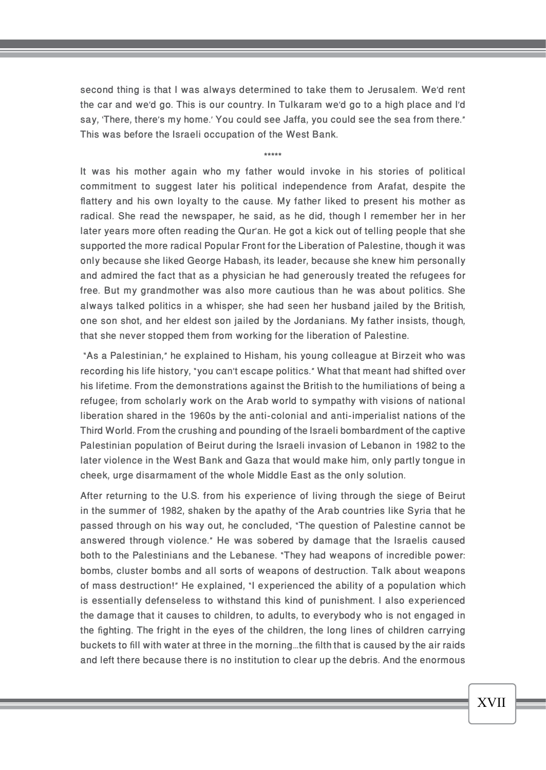second thing is that I was always determined to take them to Jerusalem. We'd rent the car and we'd go. This is our country. In Tulkaram we'd go to a high place and I'd say, 'There, there's my home.' You could see Jaffa, you could see the sea from there." This was before the Israeli occupation of the West Bank.

\*\*\*\*\*

It was his mother again who my father would invoke in his stories of political commitment to suggest later his political independence from Arafat, despite the flattery and his own loyalty to the cause. My father liked to present his mother as radical. She read the newspaper, he said, as he did, though I remember her in her later years more often reading the Qur'an. He got a kick out of telling people that she supported the more radical Popular Front for the Liberation of Palestine, though it was only because she liked George Habash, its leader, because she knew him personally and admired the fact that as a physician he had generously treated the refugees for free. But my grandmother was also more cautious than he was about politics. She always talked politics in a whisper; she had seen her husband jailed by the British, one son shot, and her eldest son jailed by the Jordanians. My father insists, though, that she never stopped them from working for the liberation of Palestine.

 "As a Palestinian," he explained to Hisham, his young colleague at Birzeit who was recording his life history, "you can't escape politics." What that meant had shifted over his lifetime. From the demonstrations against the British to the humiliations of being a refugee; from scholarly work on the Arab world to sympathy with visions of national liberation shared in the 1960s by the anti-colonial and anti-imperialist nations of the Third World. From the crushing and pounding of the Israeli bombardment of the captive Palestinian population of Beirut during the Israeli invasion of Lebanon in 1982 to the later violence in the West Bank and Gaza that would make him, only partly tongue in cheek, urge disarmament of the whole Middle East as the only solution.

After returning to the U.S. from his experience of living through the siege of Beirut in the summer of 1982, shaken by the apathy of the Arab countries like Syria that he passed through on his way out, he concluded, "The question of Palestine cannot be answered through violence." He was sobered by damage that the Israelis caused both to the Palestinians and the Lebanese. "They had weapons of incredible power: bombs, cluster bombs and all sorts of weapons of destruction. Talk about weapons of mass destruction!" He explained, "I experienced the ability of a population which is essentially defenseless to withstand this kind of punishment. I also experienced the damage that it causes to children, to adults, to everybody who is not engaged in the fighting. The fright in the eyes of the children, the long lines of children carrying buckets to fill with water at three in the morning…the filth that is caused by the air raids and left there because there is no institution to clear up the debris. And the enormous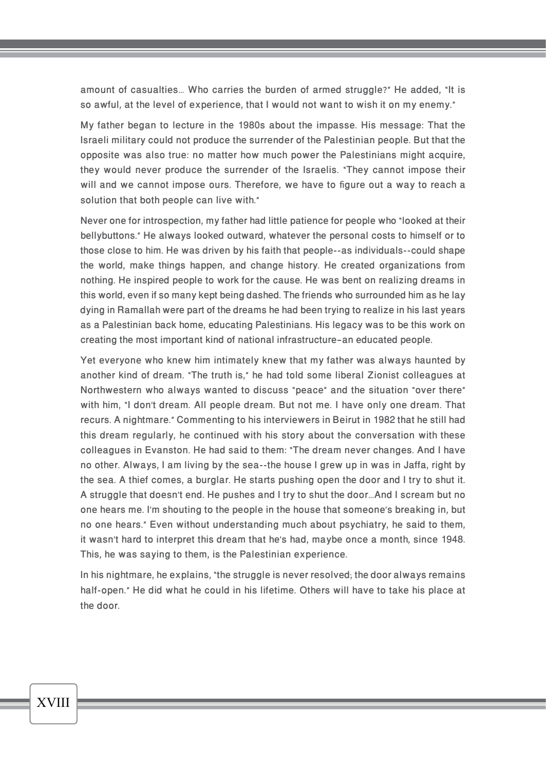amount of casualties… Who carries the burden of armed struggle?" He added, "It is so awful, at the level of experience, that I would not want to wish it on my enemy."

My father began to lecture in the 1980s about the impasse. His message: That the Israeli military could not produce the surrender of the Palestinian people. But that the opposite was also true: no matter how much power the Palestinians might acquire, they would never produce the surrender of the Israelis. "They cannot impose their will and we cannot impose ours. Therefore, we have to figure out a way to reach a solution that both people can live with."

Never one for introspection, my father had little patience for people who "looked at their bellybuttons." He always looked outward, whatever the personal costs to himself or to those close to him. He was driven by his faith that people--as individuals--could shape the world, make things happen, and change history. He created organizations from nothing. He inspired people to work for the cause. He was bent on realizing dreams in this world, even if so many kept being dashed. The friends who surrounded him as he lay dying in Ramallah were part of the dreams he had been trying to realize in his last years as a Palestinian back home, educating Palestinians. His legacy was to be this work on creating the most important kind of national infrastructure—an educated people.

Yet everyone who knew him intimately knew that my father was always haunted by another kind of dream. "The truth is," he had told some liberal Zionist colleagues at Northwestern who always wanted to discuss "peace" and the situation "over there" with him, "I don't dream. All people dream. But not me. I have only one dream. That recurs. A nightmare." Commenting to his interviewers in Beirut in 1982 that he still had this dream regularly, he continued with his story about the conversation with these colleagues in Evanston. He had said to them: "The dream never changes. And I have no other. Always, I am living by the sea--the house I grew up in was in Jaffa, right by the sea. A thief comes, a burglar. He starts pushing open the door and I try to shut it. A struggle that doesn't end. He pushes and I try to shut the door…And I scream but no one hears me. I'm shouting to the people in the house that someone's breaking in, but no one hears." Even without understanding much about psychiatry, he said to them, it wasn't hard to interpret this dream that he's had, maybe once a month, since 1948. This, he was saying to them, is the Palestinian experience.

In his nightmare, he explains, "the struggle is never resolved; the door always remains half-open." He did what he could in his lifetime. Others will have to take his place at the door.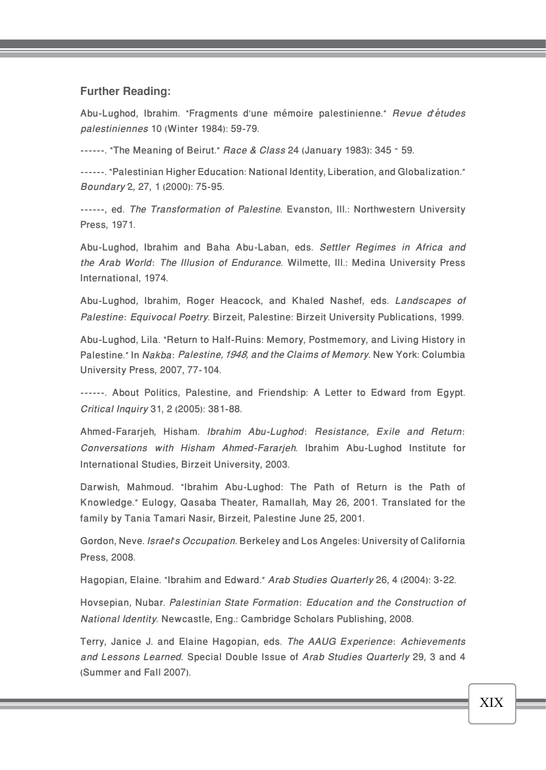#### **Further Reading:**

Abu-Lughod, Ibrahim. "Fragments d'une mémoire palestinienne." *Revue d'études palestiniennes* 10 (Winter 1984): 59-79.

------. "The Meaning of Beirut." *Race & Class* 24 (January 1983): 345 – 59.

------. "Palestinian Higher Education: National Identity, Liberation, and Globalization." *Boundary 2*, 27, 1 (2000): 75-95.

------, ed. *The Transformation of Palestine*. Evanston, Ill.: Northwestern University Press, 1971.

Abu-Lughod, Ibrahim and Baha Abu-Laban, eds. *Settler Regimes in Africa and the Arab World: The Illusion of Endurance*. Wilmette, Ill.: Medina University Press International, 1974.

Abu-Lughod, Ibrahim, Roger Heacock, and Khaled Nashef, eds. *Landscapes of Palestine: Equivocal Poetry*. Birzeit, Palestine: Birzeit University Publications, 1999.

Abu-Lughod, Lila. "Return to Half-Ruins: Memory, Postmemory, and Living History in Palestine." In *Nakba: Palestine,1948, and the Claims of Memory*. New York: Columbia University Press, 2007, 77-104.

------. About Politics, Palestine, and Friendship: A Letter to Edward from Egypt. *Critical Inquiry* 31, 2 (2005): 381-88.

Ahmed-Fararjeh, Hisham. *Ibrahim Abu-Lughod: Resistance, Exile and Return: Conversations with Hisham Ahmed-Fararjeh.* Ibrahim Abu-Lughod Institute for International Studies, Birzeit University, 2003.

Darwish, Mahmoud. "Ibrahim Abu-Lughod: The Path of Return is the Path of Knowledge." Eulogy, Qasaba Theater, Ramallah, May 26, 2001. Translated for the family by Tania Tamari Nasir, Birzeit, Palestine June 25, 2001.

Gordon, Neve. *Israel's Occupation*. Berkeley and Los Angeles: University of California Press, 2008.

Hagopian, Elaine. "Ibrahim and Edward." *Arab Studies Quarterly* 26, 4 (2004): 3-22.

Hovsepian, Nubar. *Palestinian State Formation: Education and the Construction of National Identity*. Newcastle, Eng.: Cambridge Scholars Publishing, 2008.

Terry, Janice J. and Elaine Hagopian, eds. *The AAUG Experience: Achievements and Lessons Learned.* Special Double Issue of *Arab Studies Quarterly* 29, 3 and 4 (Summer and Fall 2007).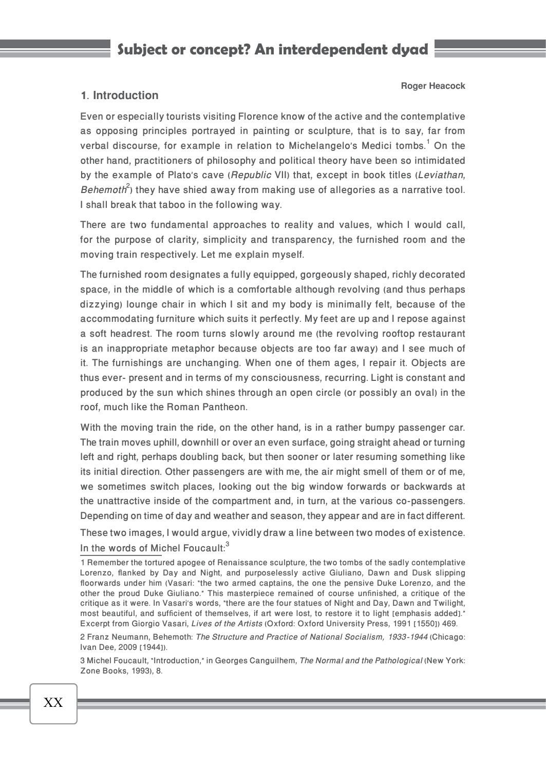### **Subject or concept? An interdependent dyad**

#### **1. Introduction**

**Roger Heacock**

Even or especially tourists visiting Florence know of the active and the contemplative as opposing principles portrayed in painting or sculpture, that is to say, far from verbal discourse, for example in relation to Michelangelo's Medici tombs. $^{\mathrm{1}}$  On the other hand, practitioners of philosophy and political theory have been so intimidated by the example of Plato's cave (*Republic* VII) that, except in book titles (*Leviathan*, *Behemoth*<sup>2</sup>) they have shied away from making use of allegories as a narrative tool. I shall break that taboo in the following way.

There are two fundamental approaches to reality and values, which I would call, for the purpose of clarity, simplicity and transparency, the furnished room and the moving train respectively. Let me explain myself.

The furnished room designates a fully equipped, gorgeously shaped, richly decorated space, in the middle of which is a comfortable although revolving (and thus perhaps dizzying) lounge chair in which I sit and my body is minimally felt, because of the accommodating furniture which suits it perfectly. My feet are up and I repose against a soft headrest. The room turns slowly around me (the revolving rooftop restaurant is an inappropriate metaphor because objects are too far away) and I see much of it. The furnishings are unchanging. When one of them ages, I repair it. Objects are thus ever- present and in terms of my consciousness, recurring. Light is constant and produced by the sun which shines through an open circle (or possibly an oval) in the roof, much like the Roman Pantheon.

With the moving train the ride, on the other hand, is in a rather bumpy passenger car. The train moves uphill, downhill or over an even surface, going straight ahead or turning left and right, perhaps doubling back, but then sooner or later resuming something like its initial direction. Other passengers are with me, the air might smell of them or of me, we sometimes switch places, looking out the big window forwards or backwards at the unattractive inside of the compartment and, in turn, at the various co-passengers. Depending on time of day and weather and season, they appear and are in fact different.

These two images, I would argue, vividly draw a line between two modes of existence. In the words of Michel Foucault:<sup>3</sup>

3 Michel Foucault, "Introduction," in Georges Canguilhem, *The Normal and the Pathological* (New York: Zone Books, 1993), 8.

<sup>1</sup> Remember the tortured apogee of Renaissance sculpture, the two tombs of the sadly contemplative Lorenzo, flanked by Day and Night, and purposelessly active Giuliano, Dawn and Dusk slipping floorwards under him (Vasari: "the two armed captains, the one the pensive Duke Lorenzo, and the other the proud Duke Giuliano." This masterpiece remained of course unfinished, a critique of the critique as it were. In Vasari's words, "there are the four statues of Night and Day, Dawn and Twilight, most beautiful, and sufficient of themselves, if art were lost, to restore it to light [emphasis added]." Excerpt from Giorgio Vasari, *Lives of the Artists* (Oxford: Oxford University Press, 1991 [1550]) 469.

<sup>2</sup> Franz Neumann, Behemoth: *The Structure and Practice of National Socialism, 1933-1944* (Chicago: Ivan Dee, 2009 [1944]).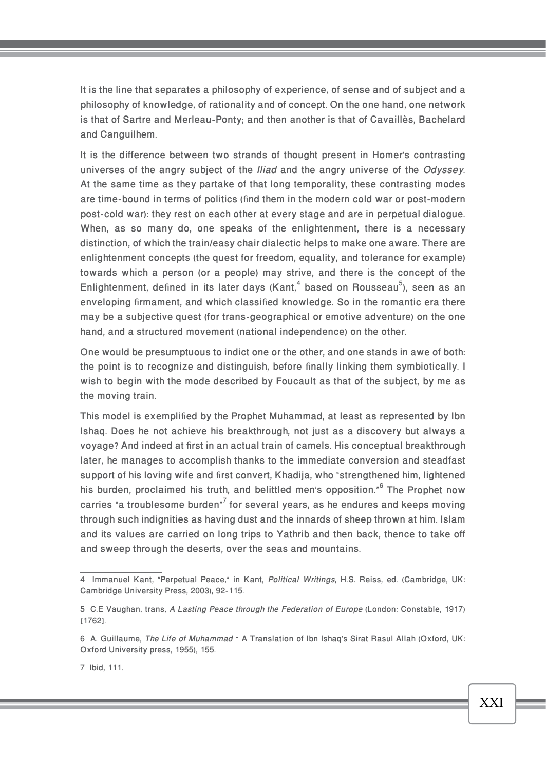It is the line that separates a philosophy of experience, of sense and of subject and a philosophy of knowledge, of rationality and of concept. On the one hand, one network is that of Sartre and Merleau-Ponty; and then another is that of Cavaillès, Bachelard and Canguilhem.

It is the difference between two strands of thought present in Homer's contrasting universes of the angry subject of the *Iliad* and the angry universe of the *Odyssey*. At the same time as they partake of that long temporality, these contrasting modes are time-bound in terms of politics (find them in the modern cold war or post-modern post-cold war): they rest on each other at every stage and are in perpetual dialogue. When, as so many do, one speaks of the enlightenment, there is a necessary distinction, of which the train/easy chair dialectic helps to make one aware. There are enlightenment concepts (the quest for freedom, equality, and tolerance for example) towards which a person (or a people) may strive, and there is the concept of the Enlightenment, defined in its later days (Kant, $^4$  based on Rousseau $^5$ ), seen as an enveloping firmament, and which classified knowledge. So in the romantic era there may be a subjective quest (for trans-geographical or emotive adventure) on the one hand, and a structured movement (national independence) on the other.

One would be presumptuous to indict one or the other, and one stands in awe of both: the point is to recognize and distinguish, before finally linking them symbiotically. I wish to begin with the mode described by Foucault as that of the subject, by me as the moving train.

This model is exemplified by the Prophet Muhammad, at least as represented by Ibn Ishaq. Does he not achieve his breakthrough, not just as a discovery but always a voyage? And indeed at first in an actual train of camels. His conceptual breakthrough later, he manages to accomplish thanks to the immediate conversion and steadfast support of his loving wife and first convert, Khadija, who "strengthened him, lightened his burden, proclaimed his truth, and belittled men's opposition.<sup>"6</sup> The Prophet now carries "a troublesome burden"  $^7$  for several years, as he endures and keeps moving through such indignities as having dust and the innards of sheep thrown at him. Islam and its values are carried on long trips to Yathrib and then back, thence to take off and sweep through the deserts, over the seas and mountains.

<sup>4</sup> Immanuel Kant, "Perpetual Peace," in Kant, *Political Writings*, H.S. Reiss, ed. (Cambridge, UK: Cambridge University Press, 2003), 92-115.

<sup>5</sup> C.E Vaughan, trans, *A Lasting Peace through the Federation of Europe* (London: Constable, 1917) [1762].

<sup>6</sup> A. Guillaume, *The Life of Muhammad* – A Translation of Ibn Ishaq's Sirat Rasul Allah (Oxford, UK: Oxford University press, 1955), 155.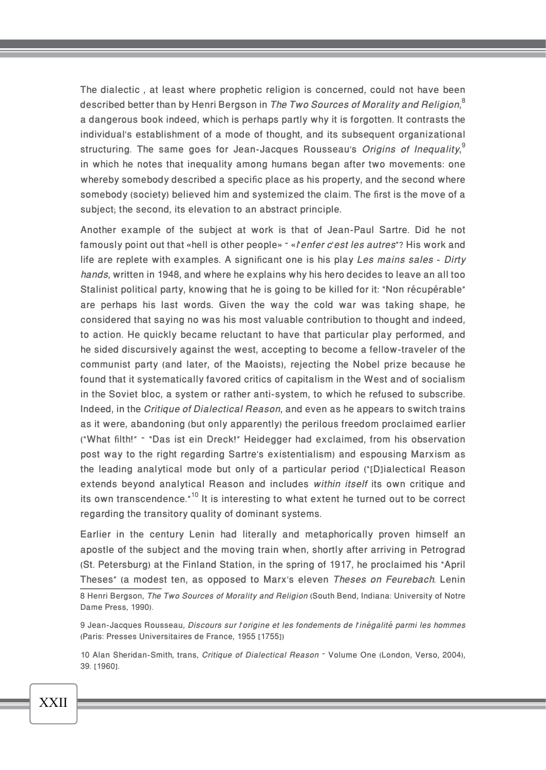The dialectic , at least where prophetic religion is concerned, could not have been described better than by Henri Bergson in *The Two Sources of Morality and Religion*, 8 a dangerous book indeed, which is perhaps partly why it is forgotten. It contrasts the individual's establishment of a mode of thought, and its subsequent organizational structuring. The same goes for Jean-Jacques Rousseau's *Origins of Inequality*, 9 in which he notes that inequality among humans began after two movements: one whereby somebody described a specific place as his property, and the second where somebody (society) believed him and systemized the claim. The first is the move of a subject; the second, its elevation to an abstract principle.

Another example of the subject at work is that of Jean-Paul Sartre. Did he not famously point out that «hell is other people» – «*l'enfer c'est les autres"*? His work and life are replete with examples. A significant one is his play *Les mains sales* - *Dirty hands*, written in 1948, and where he explains why his hero decides to leave an all too Stalinist political party, knowing that he is going to be killed for it: "Non récupérable" are perhaps his last words. Given the way the cold war was taking shape, he considered that saying no was his most valuable contribution to thought and indeed, to action. He quickly became reluctant to have that particular play performed, and he sided discursively against the west, accepting to become a fellow-traveler of the communist party (and later, of the Maoists), rejecting the Nobel prize because he found that it systematically favored critics of capitalism in the West and of socialism in the Soviet bloc, a system or rather anti-system, to which he refused to subscribe. Indeed, in the *Critique of Dialectical Reason*, and even as he appears to switch trains as it were, abandoning (but only apparently) the perilous freedom proclaimed earlier ("What filth!" – "Das ist ein Dreck!" Heidegger had exclaimed, from his observation post way to the right regarding Sartre's existentialism) and espousing Marxism as the leading analytical mode but only of a particular period ("[D]ialectical Reason extends beyond analytical Reason and includes *within itself* its own critique and its own transcendence."<sup>10</sup> It is interesting to what extent he turned out to be correct regarding the transitory quality of dominant systems.

Earlier in the century Lenin had literally and metaphorically proven himself an apostle of the subject and the moving train when, shortly after arriving in Petrograd (St. Petersburg) at the Finland Station, in the spring of 1917, he proclaimed his "April Theses" (a modest ten, as opposed to Marx's eleven *Theses on Feurebach*. Lenin

<sup>8</sup> Henri Bergson, *The Two Sources of Morality and Religion* (South Bend, Indiana: University of Notre Dame Press, 1990).

<sup>9</sup> Jean-Jacques Rousseau, *Discours sur l'origine et les fondements de l'inégalité parmi les hommes*  (Paris: Presses Universitaires de France, 1955 [1755])

<sup>10</sup> Alan Sheridan-Smith, trans, *Critique of Dialectical Reason* – Volume One (London, Verso, 2004), 39. [1960].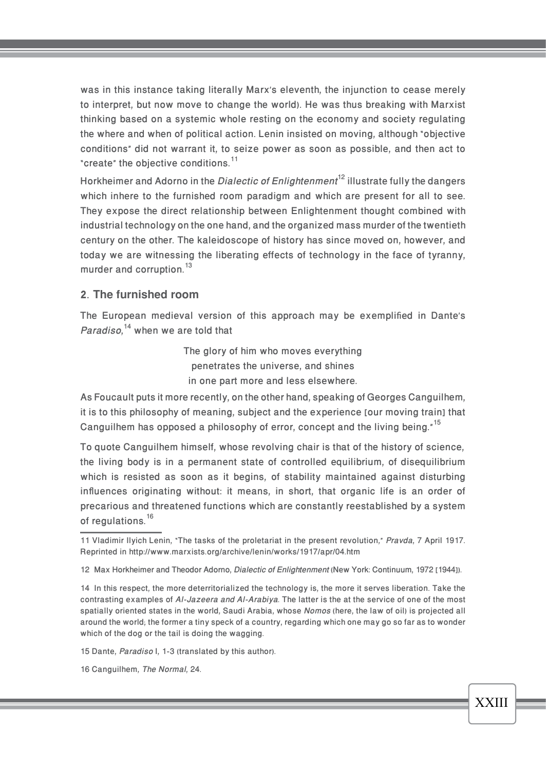was in this instance taking literally Marx's eleventh, the injunction to cease merely to interpret, but now move to change the world). He was thus breaking with Marxist thinking based on a systemic whole resting on the economy and society regulating the where and when of political action. Lenin insisted on moving, although "objective conditions" did not warrant it, to seize power as soon as possible, and then act to "create" the objective conditions.<sup>11</sup>

Horkheimer and Adorno in the *Dialectic of Enlightenment*<sup>12</sup> illustrate fully the dangers which inhere to the furnished room paradigm and which are present for all to see. They expose the direct relationship between Enlightenment thought combined with industrial technology on the one hand, and the organized mass murder of the twentieth century on the other. The kaleidoscope of history has since moved on, however, and today we are witnessing the liberating effects of technology in the face of tyranny, murder and corruption.<sup>13</sup>

#### **2. The furnished room**

The European medieval version of this approach may be exemplified in Dante's *Paradiso*, 14 when we are told that

> The glory of him who moves everything penetrates the universe, and shines in one part more and less elsewhere.

As Foucault puts it more recently, on the other hand, speaking of Georges Canguilhem, it is to this philosophy of meaning, subject and the experience [our moving train] that Canguilhem has opposed a philosophy of error, concept and the living being."<sup>15</sup>

To quote Canguilhem himself, whose revolving chair is that of the history of science, the living body is in a permanent state of controlled equilibrium, of disequilibrium which is resisted as soon as it begins, of stability maintained against disturbing influences originating without: it means, in short, that organic life is an order of precarious and threatened functions which are constantly reestablished by a system of regulations.<sup>16</sup>

15 Dante, *Paradiso* I, 1-3 (translated by this author).

16 Canguilhem, *The Normal*, 24.

<sup>11</sup> Vladimir Ilyich Lenin, "The tasks of the proletariat in the present revolution," *Pravda*, 7 April 1917. Reprinted in http://www.marxists.org/archive/lenin/works/1917/apr/04.htm

<sup>12</sup> Max Horkheimer and Theodor Adorno, *Dialectic of Enlightenment* (New York: Continuum, 1972 [1944]).

<sup>14</sup> In this respect, the more deterritorialized the technology is, the more it serves liberation. Take the contrasting examples of *Al-Jazeera and Al-Arabiya*. The latter is the at the service of one of the most spatially oriented states in the world, Saudi Arabia, whose *Nomos* (here, the law of oil) is projected all around the world; the former a tiny speck of a country, regarding which one may go so far as to wonder which of the dog or the tail is doing the wagging.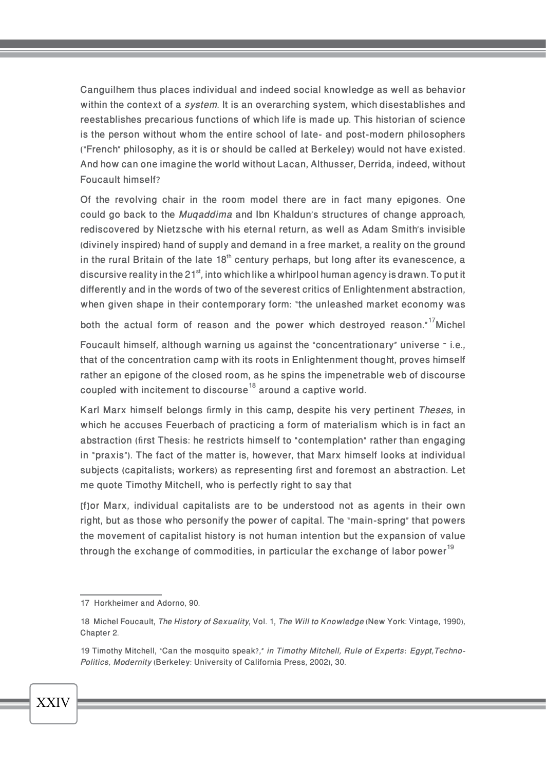Canguilhem thus places individual and indeed social knowledge as well as behavior within the context of a *system*. It is an overarching system, which disestablishes and reestablishes precarious functions of which life is made up. This historian of science is the person without whom the entire school of late- and post-modern philosophers ("French" philosophy, as it is or should be called at Berkeley) would not have existed. And how can one imagine the world without Lacan, Althusser, Derrida, indeed, without Foucault himself?

Of the revolving chair in the room model there are in fact many epigones. One could go back to the *Muqaddima* and Ibn Khaldun's structures of change approach, rediscovered by Nietzsche with his eternal return, as well as Adam Smith's invisible (divinely inspired) hand of supply and demand in a free market, a reality on the ground in the rural Britain of the late  $18<sup>th</sup>$  century perhaps, but long after its evanescence, a discursive reality in the  $21^{st}$ , into which like a whirlpool human agency is drawn. To put it differently and in the words of two of the severest critics of Enlightenment abstraction, when given shape in their contemporary form: "the unleashed market economy was

both the actual form of reason and the power which destroyed reason."<sup>17</sup>Michel

Foucault himself, although warning us against the "concentrationary" universe – i.e., that of the concentration camp with its roots in Enlightenment thought, proves himself rather an epigone of the closed room, as he spins the impenetrable web of discourse coupled with incitement to discourse<sup>18</sup> around a captive world.

Karl Marx himself belongs firmly in this camp, despite his very pertinent *Theses*, in which he accuses Feuerbach of practicing a form of materialism which is in fact an abstraction (first Thesis: he restricts himself to "contemplation" rather than engaging in "praxis"). The fact of the matter is, however, that Marx himself looks at individual subjects (capitalists; workers) as representing first and foremost an abstraction. Let me quote Timothy Mitchell, who is perfectly right to say that

[f]or Marx, individual capitalists are to be understood not as agents in their own right, but as those who personify the power of capital. The "main-spring" that powers the movement of capitalist history is not human intention but the expansion of value through the exchange of commodities, in particular the exchange of labor power<sup>19</sup>

<sup>17</sup> Horkheimer and Adorno, 90.

<sup>18</sup> Michel Foucault, *The History of Sexuality*, Vol. 1, *The Will to Knowledge* (New York: Vintage, 1990), Chapter 2.

<sup>19</sup> Timothy Mitchell, "Can the mosquito speak?," *in Timothy Mitchell, Rule of Experts: Egypt,Techno-Politics, Modernity* (Berkeley: University of California Press, 2002), 30.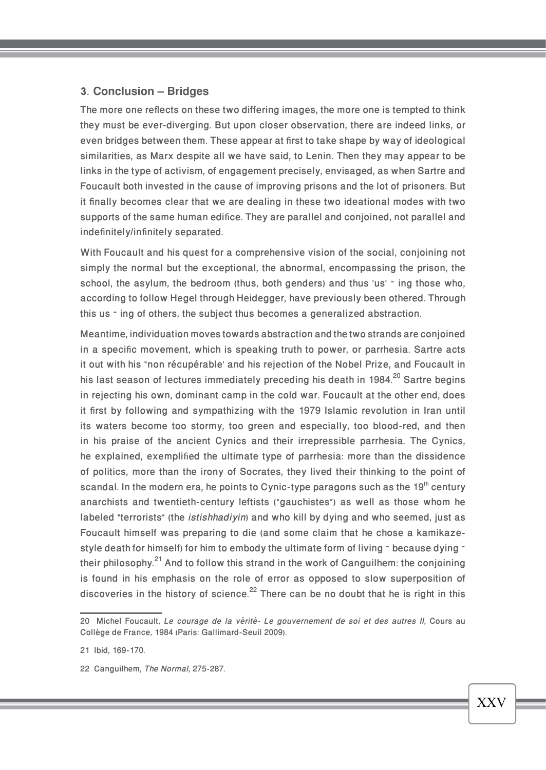#### **3. Conclusion – Bridges**

The more one reflects on these two differing images, the more one is tempted to think they must be ever-diverging. But upon closer observation, there are indeed links, or even bridges between them. These appear at first to take shape by way of ideological similarities, as Marx despite all we have said, to Lenin. Then they may appear to be links in the type of activism, of engagement precisely, envisaged, as when Sartre and Foucault both invested in the cause of improving prisons and the lot of prisoners. But it finally becomes clear that we are dealing in these two ideational modes with two supports of the same human edifice. They are parallel and conjoined, not parallel and indefinitely/infinitely separated.

With Foucault and his quest for a comprehensive vision of the social, conjoining not simply the normal but the exceptional, the abnormal, encompassing the prison, the school, the asylum, the bedroom (thus, both genders) and thus 'us' – ing those who, according to follow Hegel through Heidegger, have previously been othered. Through this us – ing of others, the subject thus becomes a generalized abstraction.

Meantime, individuation moves towards abstraction and the two strands are conjoined in a specific movement, which is speaking truth to power, or parrhesia. Sartre acts it out with his "non récupérable' and his rejection of the Nobel Prize, and Foucault in his last season of lectures immediately preceding his death in 1984.<sup>20</sup> Sartre begins in rejecting his own, dominant camp in the cold war. Foucault at the other end, does it first by following and sympathizing with the 1979 Islamic revolution in Iran until its waters become too stormy, too green and especially, too blood-red, and then in his praise of the ancient Cynics and their irrepressible parrhesia. The Cynics, he explained, exemplified the ultimate type of parrhesia: more than the dissidence of politics, more than the irony of Socrates, they lived their thinking to the point of scandal. In the modern era, he points to Cynic-type paragons such as the  $19<sup>th</sup>$  century anarchists and twentieth-century leftists ("gauchistes") as well as those whom he labeled "terrorists" (the *istishhadiyin*) and who kill by dying and who seemed, just as Foucault himself was preparing to die (and some claim that he chose a kamikazestyle death for himself) for him to embody the ultimate form of living – because dying – their philosophy.<sup>21</sup> And to follow this strand in the work of Canguilhem: the conjoining is found in his emphasis on the role of error as opposed to slow superposition of discoveries in the history of science. $^{22}$  There can be no doubt that he is right in this

<sup>20</sup> Michel Foucault, *Le courage de la vérité- Le gouvernement de soi et des autres II*, Cours au Collège de France, 1984 (Paris: Gallimard-Seuil 2009).

<sup>21</sup> Ibid, 169-170.

<sup>22</sup> Canguilhem, *The Normal*, 275-287.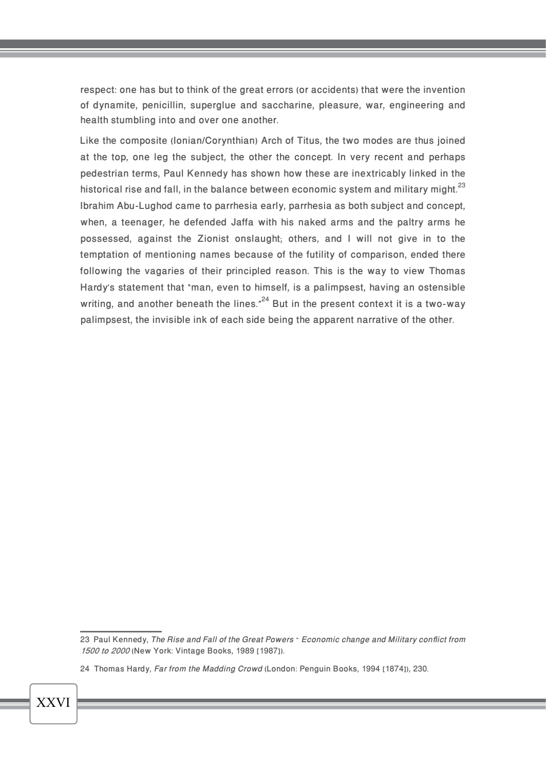respect: one has but to think of the great errors (or accidents) that were the invention of dynamite, penicillin, superglue and saccharine, pleasure, war, engineering and health stumbling into and over one another.

Like the composite (Ionian/Corynthian) Arch of Titus, the two modes are thus joined at the top, one leg the subject, the other the concept. In very recent and perhaps pedestrian terms, Paul Kennedy has shown how these are inextricably linked in the historical rise and fall, in the balance between economic system and military might.<sup>23</sup> Ibrahim Abu-Lughod came to parrhesia early, parrhesia as both subject and concept, when, a teenager, he defended Jaffa with his naked arms and the paltry arms he possessed, against the Zionist onslaught; others, and I will not give in to the temptation of mentioning names because of the futility of comparison, ended there following the vagaries of their principled reason. This is the way to view Thomas Hardy's statement that "man, even to himself, is a palimpsest, having an ostensible writing, and another beneath the lines. $124$  But in the present context it is a two-way palimpsest, the invisible ink of each side being the apparent narrative of the other.

<sup>23</sup> Paul Kennedy, *The Rise and Fall of the Great Powers – Economic change and Military conflict from*  1500 to 2000 (New York: Vintage Books, 1989 [1987]).

<sup>24</sup> Thomas Hardy, *Far from the Madding Crowd* (London: Penguin Books, 1994 [1874]), 230.